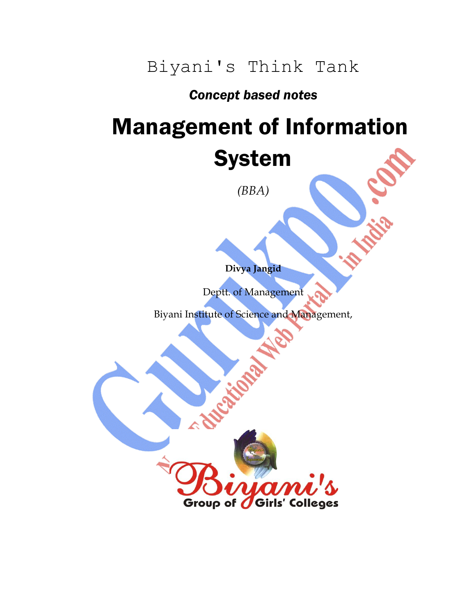# Biyani's Think Tank

### *Concept based notes*

# Management of Information

# System

*(BBA)*



Deptt. of Management

Biyani Institute of Science and Management,

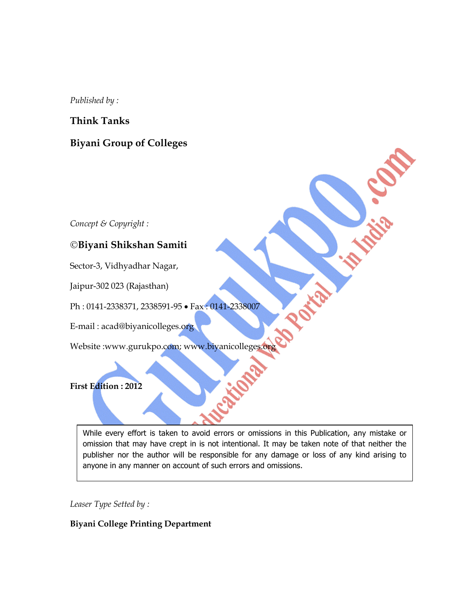*Published by :*

**Think Tanks**

**Biyani Group of Colleges**

*Concept & Copyright :*

#### **Biyani Shikshan Samiti**

Sector-3, Vidhyadhar Nagar,

Jaipur-302 023 (Rajasthan)

Ph: 0141-2338371, 2338591-95 · Fax: 0141-2338007

E-mail : acad@biyanicolleges.org

Website :www.gurukpo.com; www.biyanicolleges.org

**First Edition : 2012**

While every effort is taken to avoid errors or omissions in this Publication, any mistake or omission that may have crept in is not intentional. It may be taken note of that neither the publisher nor the author will be responsible for any damage or loss of any kind arising to anyone in any manner on account of such errors and omissions.

Tig . C.

*Leaser Type Setted by :*

#### **Biyani College Printing Department**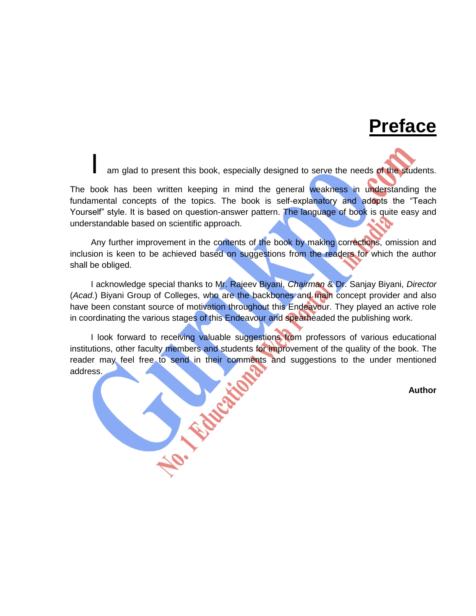## **Preface**

am glad to present this book, especially designed to serve the needs of the students.

The book has been written keeping in mind the general weakness in understanding the fundamental concepts of the topics. The book is self-explanatory and adopts the "Teach Yourself" style. It is based on question-answer pattern. The language of book is quite easy and understandable based on scientific approach.

Any further improvement in the contents of the book by making corrections, omission and inclusion is keen to be achieved based on suggestions from the readers for which the author shall be obliged.

I acknowledge special thanks to Mr. Rajeev Biyani, *Chairman* & Dr. Sanjay Biyani, *Director* (*Acad.*) Biyani Group of Colleges, who are the backbones and main concept provider and also have been constant source of motivation throughout this Endeavour. They played an active role in coordinating the various stages of this Endeavour and spearheaded the publishing work.

I look forward to receiving valuable suggestions from professors of various educational institutions, other faculty members and students for improvement of the quality of the book. The reader may feel free to send in their comments and suggestions to the under mentioned address. address.

**Author**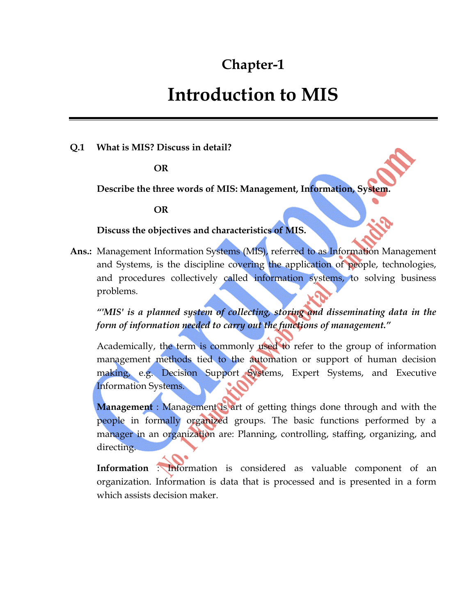### **Chapter-1**

# **Introduction to MIS**

#### **Q.1 What is MIS? Discuss in detail?**

#### **OR**

 **Describe the three words of MIS: Management, Information, System.**

**OR** 

#### **Discuss the objectives and characteristics of MIS.**

**Ans.:** Management Information Systems (MIS), referred to as Information Management and Systems, is the discipline covering the application of people, technologies, and procedures collectively called information systems, to solving business problems.

*"'MIS' is a planned system of collecting, storing and disseminating data in the form of information needed to carry out the functions of management."*

Academically, the term is commonly used to refer to the group of information management methods tied to the automation or support of human decision making, e.g. Decision Support Systems, Expert Systems, and Executive Information Systems.

**Management** : Management is art of getting things done through and with the people in formally organized groups. The basic functions performed by a manager in an organization are: Planning, controlling, staffing, organizing, and directing.

**Information** : Information is considered as valuable component of an organization. Information is data that is processed and is presented in a form which assists decision maker.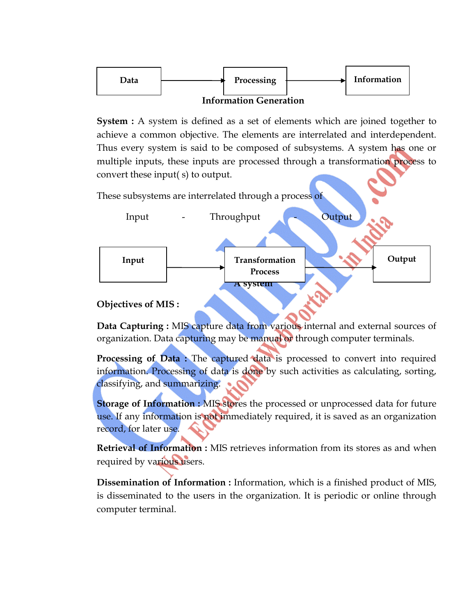

**System :** A system is defined as a set of elements which are joined together to achieve a common objective. The elements are interrelated and interdependent. Thus every system is said to be composed of subsystems. A system has one or multiple inputs, these inputs are processed through a transformation process to convert these input( s) to output.

These subsystems are interrelated through a process of



#### **Objectives of MIS :**

**Data Capturing :** MIS capture data from various internal and external sources of organization. Data capturing may be manual or through computer terminals.

**Processing of Data :** The captured data is processed to convert into required information. Processing of data is done by such activities as calculating, sorting, classifying, and summarizing.

**Storage of Information : MIS stores the processed or unprocessed data for future** use. If any information is not immediately required, it is saved as an organization record, for later use.

**Retrieval of Information :** MIS retrieves information from its stores as and when required by various users.

**Dissemination of Information :** Information, which is a finished product of MIS, is disseminated to the users in the organization. It is periodic or online through computer terminal.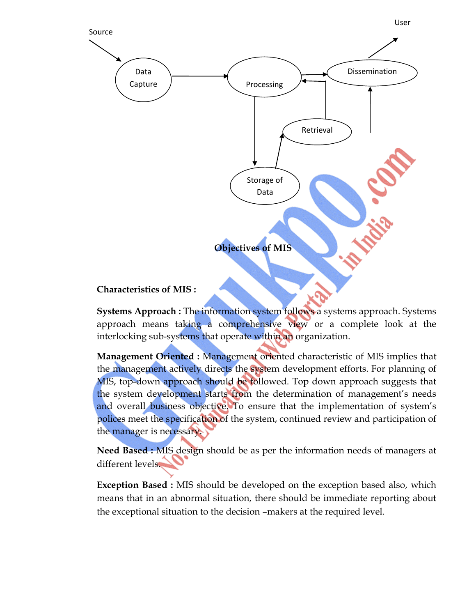

#### **Characteristics of MIS :**

**Systems Approach :** The information system follows a systems approach. Systems approach means taking a comprehensive view or a complete look at the interlocking sub-systems that operate within an organization.

**Management Oriented :** Management oriented characteristic of MIS implies that the management actively directs the system development efforts. For planning of MIS, top-down approach should be followed. Top down approach suggests that the system development starts from the determination of management's needs and overall business objective. To ensure that the implementation of system's polices meet the specification of the system, continued review and participation of the manager is necessary.

**Need Based :** MIS design should be as per the information needs of managers at different levels.

**Exception Based :** MIS should be developed on the exception based also, which means that in an abnormal situation, there should be immediate reporting about the exceptional situation to the decision –makers at the required level.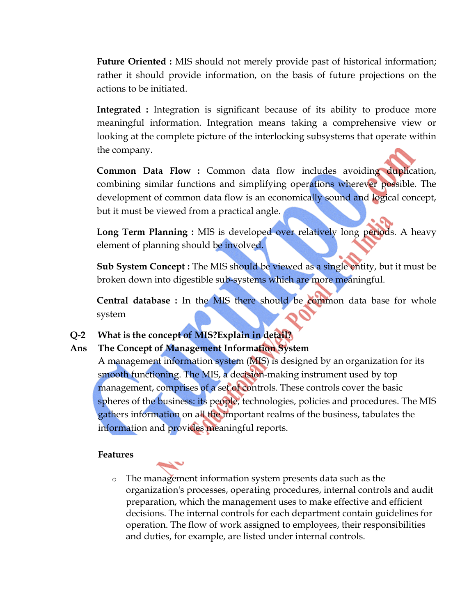**Future Oriented :** MIS should not merely provide past of historical information; rather it should provide information, on the basis of future projections on the actions to be initiated.

**Integrated :** Integration is significant because of its ability to produce more meaningful information. Integration means taking a comprehensive view or looking at the complete picture of the interlocking subsystems that operate within the company.

**Common Data Flow :** Common data flow includes avoiding duplication, combining similar functions and simplifying operations wherever possible. The development of common data flow is an economically sound and logical concept, but it must be viewed from a practical angle.

**Long Term Planning :** MIS is developed over relatively long periods. A heavy element of planning should be involved.

**Sub System Concept :** The MIS should be viewed as a single entity, but it must be broken down into digestible sub-systems which are more meaningful.

**Central database :** In the MIS there should be common data base for whole system

#### **Q-2 What is the concept of MIS?Explain in detail?**

#### **Ans The Concept of Management Information System**

A management information system (MIS) is designed by an organization for its smooth functioning. The MIS, a decision-making instrument used by top management, comprises of a set of controls. These controls cover the basic spheres of the business: its people, technologies, policies and procedures. The MIS gathers information on all the important realms of the business, tabulates the information and provides meaningful reports.

#### **Features**

o The management information system presents data such as the organization's processes, operating procedures, internal controls and audit preparation, which the management uses to make effective and efficient decisions. The internal controls for each department contain guidelines for operation. The flow of work assigned to employees, their responsibilities and duties, for example, are listed under internal controls.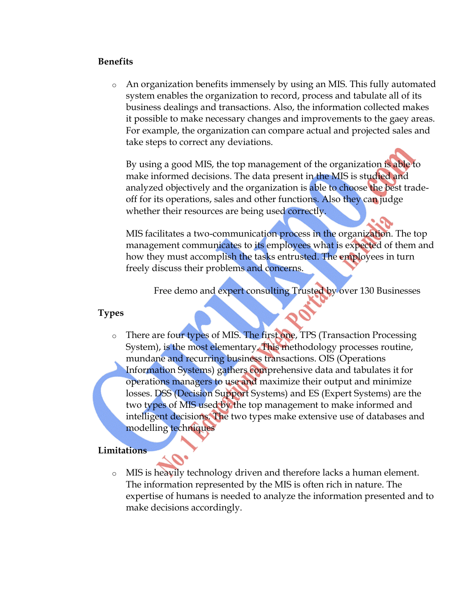#### **Benefits**

o An organization benefits immensely by using an MIS. This fully automated system enables the organization to record, process and tabulate all of its business dealings and transactions. Also, the information collected makes it possible to make necessary changes and improvements to the gaey areas. For example, the organization can compare actual and projected sales and take steps to correct any deviations.

By using a good MIS, the top management of the organization is able to make informed decisions. The data present in the MIS is studied and analyzed objectively and the organization is able to choose the best tradeoff for its operations, sales and other functions. Also they can judge whether their resources are being used correctly.

MIS facilitates a two-communication process in the organization. The top management communicates to its employees what is expected of them and how they must accomplish the tasks entrusted. The employees in turn freely discuss their problems and concerns.

Free demo and expert consulting Trusted by over 130 Businesses

#### **Types**

o There are four types of MIS. The first one, TPS (Transaction Processing System), is the most elementary. This methodology processes routine, mundane and recurring business transactions. OIS (Operations Information Systems) gathers comprehensive data and tabulates it for operations managers to use and maximize their output and minimize losses. DSS (Decision Support Systems) and ES (Expert Systems) are the two types of MIS used by the top management to make informed and intelligent decisions. The two types make extensive use of databases and modelling techniques

#### **Limitations**

o MIS is heavily technology driven and therefore lacks a human element. The information represented by the MIS is often rich in nature. The expertise of humans is needed to analyze the information presented and to make decisions accordingly.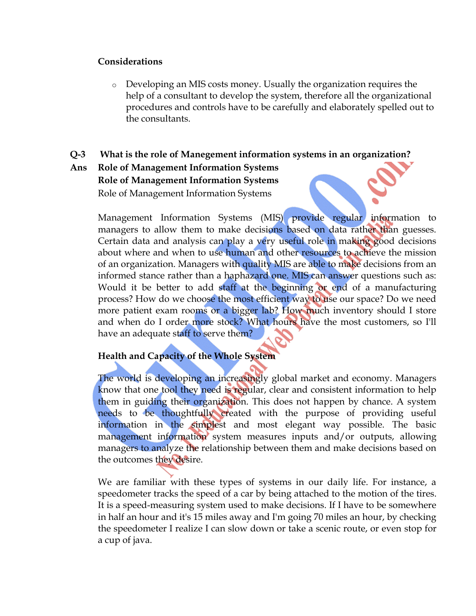#### **Considerations**

o Developing an MIS costs money. Usually the organization requires the help of a consultant to develop the system, therefore all the organizational procedures and controls have to be carefully and elaborately spelled out to the consultants.

#### **Q-3 What is the role of Manegement information systems in an organization?**

#### **Ans Role of Management Information Systems Role of Management Information Systems** Role of Management Information Systems

Management Information Systems (MIS) provide regular information to managers to allow them to make decisions based on data rather than guesses. Certain data and analysis can play a very useful role in making good decisions about where and when to use human and other resources to achieve the mission of an organization. Managers with quality MIS are able to make decisions from an informed stance rather than a haphazard one. MIS can answer questions such as: Would it be better to add staff at the beginning or end of a manufacturing process? How do we choose the most efficient way to use our space? Do we need more patient exam rooms or a bigger lab? How much inventory should I store and when do I order more stock? What hours have the most customers, so I'll have an adequate staff to serve them?

#### **Health and Capacity of the Whole System**

The world is developing an increasingly global market and economy. Managers know that one tool they need is regular, clear and consistent information to help them in guiding their organization. This does not happen by chance. A system needs to be thoughtfully created with the purpose of providing useful information in the simplest and most elegant way possible. The basic management information system measures inputs and/or outputs, allowing managers to analyze the relationship between them and make decisions based on the outcomes they desire.

We are familiar with these types of systems in our daily life. For instance, a speedometer tracks the speed of a car by being attached to the motion of the tires. It is a speed-measuring system used to make decisions. If I have to be somewhere in half an hour and it's 15 miles away and I'm going 70 miles an hour, by checking the speedometer I realize I can slow down or take a scenic route, or even stop for a cup of java.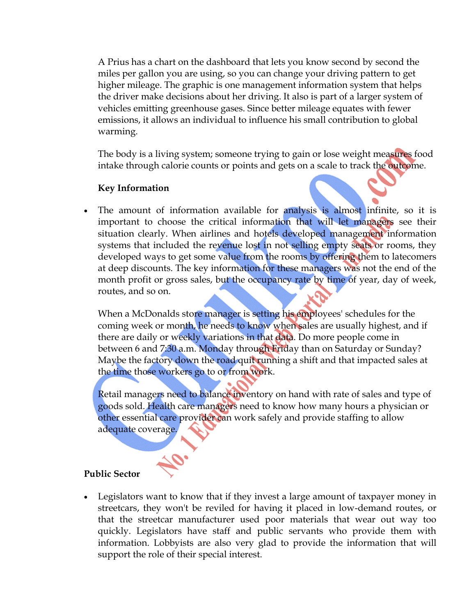A Prius has a chart on the dashboard that lets you know second by second the miles per gallon you are using, so you can change your driving pattern to get higher mileage. The graphic is one management information system that helps the driver make decisions about her driving. It also is part of a larger system of vehicles emitting greenhouse gases. Since better mileage equates with fewer emissions, it allows an individual to influence his small contribution to global warming.

The body is a living system; someone trying to gain or lose weight measures food intake through calorie counts or points and gets on a scale to track the outcome.

#### **Key Information**

The amount of information available for analysis is almost infinite, so it is important to choose the critical information that will let managers see their situation clearly. When airlines and hotels developed management information systems that included the revenue lost in not selling empty seats or rooms, they developed ways to get some value from the rooms by offering them to latecomers at deep discounts. The key information for these managers was not the end of the month profit or gross sales, but the occupancy rate by time of year, day of week, routes, and so on.

When a McDonalds store manager is setting his employees' schedules for the coming week or month, he needs to know when sales are usually highest, and if there are daily or weekly variations in that data. Do more people come in between 6 and 7:30 a.m. Monday through Friday than on Saturday or Sunday? Maybe the factory down the road quit running a shift and that impacted sales at the time those workers go to or from work.

Retail managers need to balance inventory on hand with rate of sales and type of goods sold. Health care managers need to know how many hours a physician or other essential care provider can work safely and provide staffing to allow adequate coverage.

#### **Public Sector**

 Legislators want to know that if they invest a large amount of taxpayer money in streetcars, they won't be reviled for having it placed in low-demand routes, or that the streetcar manufacturer used poor materials that wear out way too quickly. Legislators have staff and public servants who provide them with information. Lobbyists are also very glad to provide the information that will support the role of their special interest.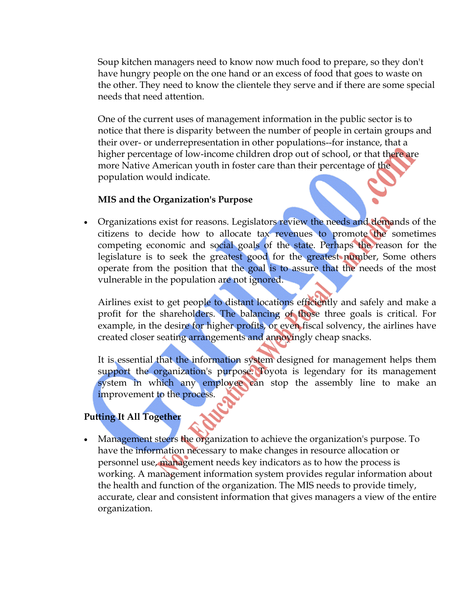Soup kitchen managers need to know now much food to prepare, so they don't have hungry people on the one hand or an excess of food that goes to waste on the other. They need to know the clientele they serve and if there are some special needs that need attention.

One of the current uses of management information in the public sector is to notice that there is disparity between the number of people in certain groups and their over- or underrepresentation in other populations--for instance, that a higher percentage of low-income children drop out of school, or that there are more Native American youth in foster care than their percentage of the population would indicate.

#### **MIS and the Organization's Purpose**

Organizations exist for reasons. Legislators review the needs and demands of the citizens to decide how to allocate tax revenues to promote the sometimes competing economic and social goals of the state. Perhaps the reason for the legislature is to seek the greatest good for the greatest number, Some others operate from the position that the goal is to assure that the needs of the most vulnerable in the population are not ignored.

Airlines exist to get people to distant locations efficiently and safely and make a profit for the shareholders. The balancing of those three goals is critical. For example, in the desire for higher profits, or even fiscal solvency, the airlines have created closer seating arrangements and annoyingly cheap snacks.

It is essential that the information system designed for management helps them support the organization's purpose. Toyota is legendary for its management system in which any employee can stop the assembly line to make an improvement to the process.

#### **Putting It All Together**

• Management steers the organization to achieve the organization's purpose. To have the information necessary to make changes in resource allocation or personnel use, management needs key indicators as to how the process is working. A management information system provides regular information about the health and function of the organization. The MIS needs to provide timely, accurate, clear and consistent information that gives managers a view of the entire organization.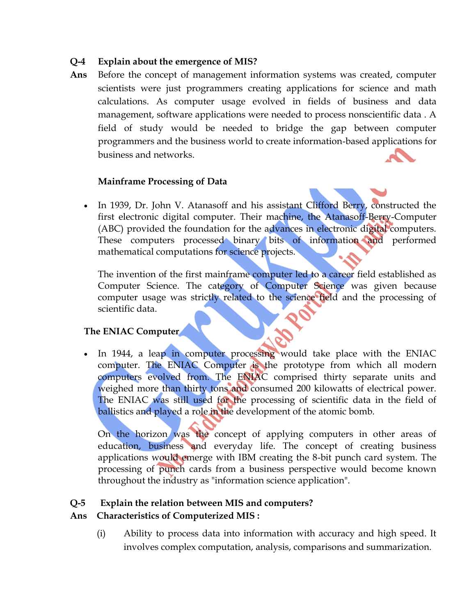#### **Q-4 Explain about the emergence of MIS?**

**Ans** Before the concept of management information systems was created, computer scientists were just programmers creating applications for science and math calculations. As computer usage evolved in fields of business and [data](http://www.ehow.com/about_5444925_history-management-information-systems.html) [management,](http://www.ehow.com/about_5444925_history-management-information-systems.html) software applications were needed to process nonscientific data . A field of study would be needed to bridge the gap between computer programmers and the business world to create information-based applications for business and networks.

#### **Mainframe Processing of Data**

In 1939, Dr. John V. Atanasoff and his assistant Clifford Berry, constructed the first electronic digital computer. Their machine, the Atanasoff-Berry-Computer (ABC) provided the foundation for the advances in electronic digital computers. These computers processed binary bits of information and performed mathematical computations for science projects.

The invention of the first mainframe computer led to a career field established as Computer Science. The category of Computer Science was given because computer usage was strictly related to the science field and the processing of scientific data.

#### **The ENIAC Computer**

• In 1944, a leap in computer processing would take place with the ENIAC computer. The ENIAC Computer is the prototype from which all modern computers evolved from. The ENIAC comprised thirty separate units and weighed more than thirty tons and consumed 200 kilowatts of electrical power. The ENIAC was still used for the processing of scientific data in the field of ballistics and played a role in the development of the atomic bomb.

On the horizon was the concept of applying computers in other areas of education, business and everyday life. The concept of creating business applications would emerge with IBM creating the 8-bit punch card system. The processing of punch cards from a business perspective would become known throughout the industry as "information science application".

#### **Q-5 Explain the relation between MIS and computers?**

#### **Ans Characteristics of Computerized MIS :**

(i) Ability to process data into information with accuracy and high speed. It involves complex computation, analysis, comparisons and summarization.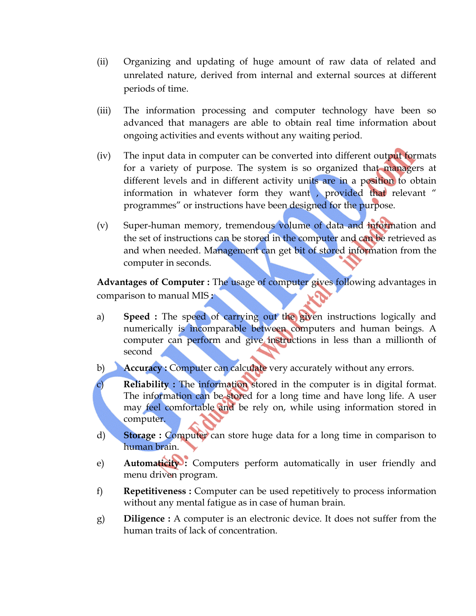- (ii) Organizing and updating of huge amount of raw data of related and unrelated nature, derived from internal and external sources at different periods of time.
- (iii) The information processing and computer technology have been so advanced that managers are able to obtain real time information about ongoing activities and events without any waiting period.
- (iv) The input data in computer can be converted into different output formats for a variety of purpose. The system is so organized that managers at different levels and in different activity units are in a position to obtain information in whatever form they want, provided that relevant " programmes" or instructions have been designed for the purpose.
- (v) Super-human memory, tremendous volume of data and information and the set of instructions can be stored in the computer and can be retrieved as and when needed. Management can get bit of stored information from the computer in seconds.

**Advantages of Computer :** The usage of computer gives following advantages in comparison to manual MIS **:**

- a) **Speed :** The speed of carrying out the given instructions logically and numerically is incomparable between computers and human beings. A computer can perform and give instructions in less than a millionth of second
- b) **Accuracy :** Computer can calculate very accurately without any errors.
- c) **Reliability :** The information stored in the computer is in digital format. The information can be stored for a long time and have long life. A user may feel comfortable and be rely on, while using information stored in computer.
- d) **Storage :** Computer can store huge data for a long time in comparison to human brain.
- e) **Automaticity :** Computers perform automatically in user friendly and menu driven program.
- f) **Repetitiveness :** Computer can be used repetitively to process information without any mental fatigue as in case of human brain.
- g) **Diligence :** A computer is an electronic device. It does not suffer from the human traits of lack of concentration.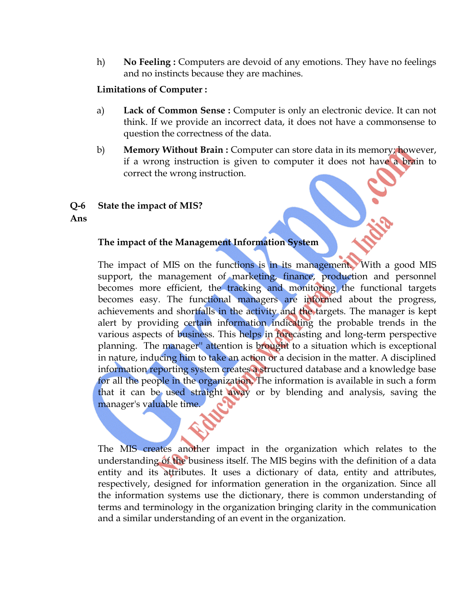h) **No Feeling :** Computers are devoid of any emotions. They have no feelings and no instincts because they are machines.

#### **Limitations of Computer :**

- a) **Lack of Common Sense :** Computer is only an electronic device. It can not think. If we provide an incorrect data, it does not have a commonsense to question the correctness of the data.
- b) **Memory Without Brain :** Computer can store data in its memory; however, if a wrong instruction is given to computer it does not have a brain to correct the wrong instruction.

#### **Q-6 State the impact of MIS? Ans**

#### **The impact of the Management Information System**

The impact of MIS on the functions is in its management. With a good MIS support, the management of marketing, finance, production and personnel becomes more efficient, the tracking and monitoring the functional targets becomes easy. The functional managers are informed about the progress, achievements and shortfalls in the activity and the targets. The manager is kept alert by providing certain information indicating the probable trends in the various aspects of business. This helps in forecasting and long-term perspective planning. The manager" attention is brought to a situation which is exceptional in nature, inducing him to take an action or a decision in the matter. A disciplined information reporting system creates a structured database and a knowledge base for all the people in the organization. The information is available in such a form that it can be used straight away or by blending and analysis, saving the manager's valuable time.

The MIS creates another impact in the organization which relates to the understanding of the business itself. The MIS begins with the definition of a data entity and its attributes. It uses a dictionary of data, entity and attributes, respectively, designed for information generation in the organization. Since all the information systems use the dictionary, there is common understanding of terms and terminology in the organization bringing clarity in the communication and a similar understanding of an event in the organization.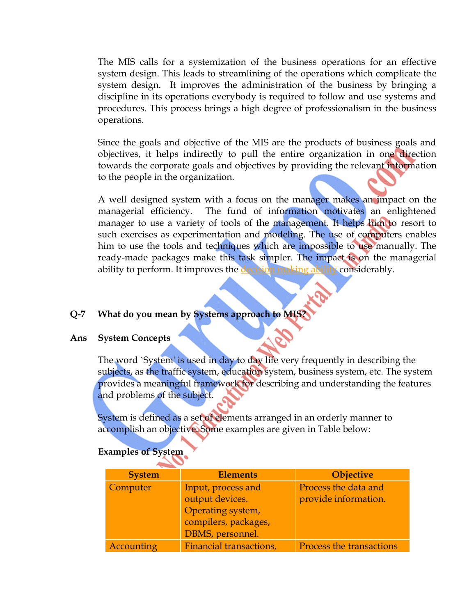The MIS calls for a systemization of the business operations for an effective system design. This leads to streamlining of the operations which complicate the system design. It improves the administration of the business by bringing a discipline in its operations everybody is required to follow and use systems and procedures. This process brings a high degree of professionalism in the business operations.

Since the goals and objective of the MIS are the products of business goals and objectives, it helps indirectly to pull the entire organization in one direction towards the corporate goals and objectives by providing the relevant information to the people in the organization.

A well designed system with a focus on the manager makes an impact on the managerial efficiency. The fund of information motivates an enlightened manager to use a variety of tools of the management. It helps him to resort to such exercises as experimentation and modeling. The use of computers enables him to use the tools and techniques which are impossible to use manually. The ready-made packages make this task simpler. The impact is on the managerial ability to perform. It improves the decision making ability considerably.

#### **Q-7 What do you mean by Systems approach to MIS?**

#### **Ans System Concepts**

The word `System' is used in day to day life very frequently in describing the subjects, as the traffic system, education system, business system, etc. The system provides a meaningful framework for describing and understanding the features and problems of the subject.

System is defined as a set of elements arranged in an orderly manner to accomplish an objective. Some examples are given in Table below:

| <b>System</b> | <b>Elements</b>                                                                                        | <b>Objective</b>                             |
|---------------|--------------------------------------------------------------------------------------------------------|----------------------------------------------|
| Computer      | Input, process and<br>output devices.<br>Operating system,<br>compilers, packages,<br>DBMS, personnel. | Process the data and<br>provide information. |
| Accounting    | Financial transactions,                                                                                | <b>Process the transactions</b>              |

#### **Examples of System**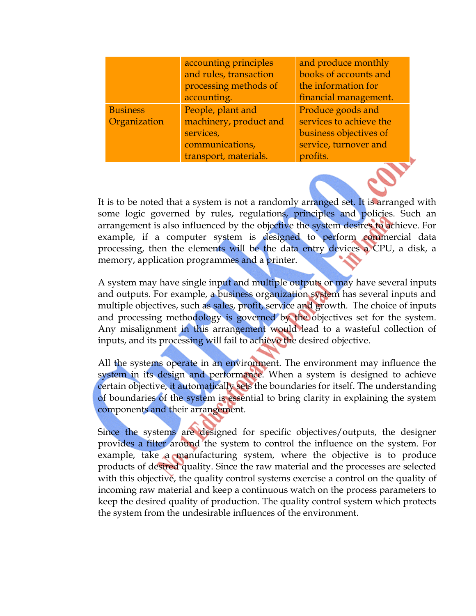|                 | accounting principles  | and produce monthly     |
|-----------------|------------------------|-------------------------|
|                 | and rules, transaction | books of accounts and   |
|                 | processing methods of  | the information for     |
|                 | accounting.            | financial management.   |
| <b>Business</b> | People, plant and      | Produce goods and       |
| Organization    | machinery, product and | services to achieve the |
|                 | services,              | business objectives of  |
|                 | communications,        | service, turnover and   |
|                 | transport, materials.  | profits.                |

It is to be noted that a system is not a randomly arranged set. It is arranged with some logic governed by rules, regulations, principles and policies. Such an arrangement is also influenced by the objective the system desires to achieve. For example, if a computer system is designed to perform commercial data processing, then the elements will be the data entry devices a CPU, a disk, a memory, application programmes and a printer.

A system may have single input and multiple outputs or may have several inputs and outputs. For example, a business organization system has several inputs and multiple objectives, such as sales, profit, service and growth. The choice of inputs and processing methodology is governed by the objectives set for the system. Any misalignment in this arrangement would lead to a wasteful collection of inputs, and its processing will fail to achieve the desired objective.

All the systems operate in an environment. The environment may influence the system in its design and performance. When a system is designed to achieve certain objective, it automatically sets the boundaries for itself. The understanding of boundaries of the system is essential to bring clarity in explaining the system components and their arrangement.

Since the systems are designed for specific objectives/outputs, the designer provides a filter around the system to control the influence on the system. For example, take a manufacturing system, where the objective is to produce products of desired quality. Since the raw material and the processes are selected with this objective, the quality control systems exercise a control on the quality of incoming raw material and keep a continuous watch on the process parameters to keep the desired quality of production. The quality control system which protects the system from the undesirable influences of the environment.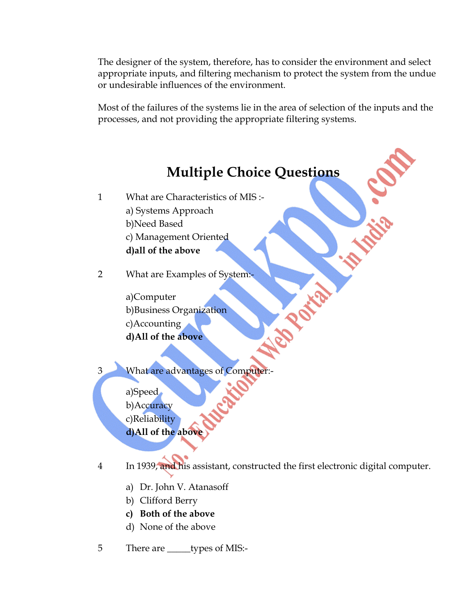The designer of the system, therefore, has to consider the environment and select appropriate inputs, and filtering mechanism to protect the system from the undue or undesirable influences of the environment.

Most of the failures of the systems lie in the area of selection of the inputs and the processes, and not providing the appropriate filtering systems.

### **Multiple Choice Questions** tio<br>C 1 What are Characteristics of MIS : a) Systems Approach b)Need Based c) Management Oriented **d)all of the above** 2 What are Examples of System: a)Computer b)Business Organization c)Accounting **d)All of the above** 3 What are advantages of Computer: a)Speed b)Accuracy c)Reliability **d)All of the above** 4 In 1939, and his assistant, constructed the first electronic digital computer. a) Dr. John V. Atanasoff

- b) Clifford Berry
- **c) Both of the above**
- d) None of the above
- 5 There are <u>types</u> of MIS:-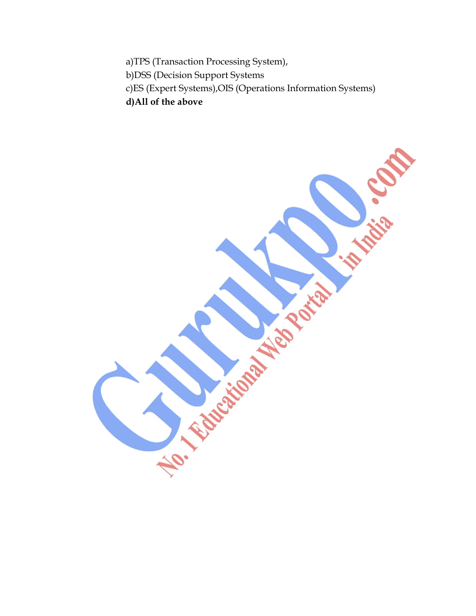a)TPS (Transaction Processing System),

b)DSS (Decision Support Systems

c)ES (Expert Systems),OIS (Operations Information Systems)

**d)All of the above**

dia .C o le distinction du postal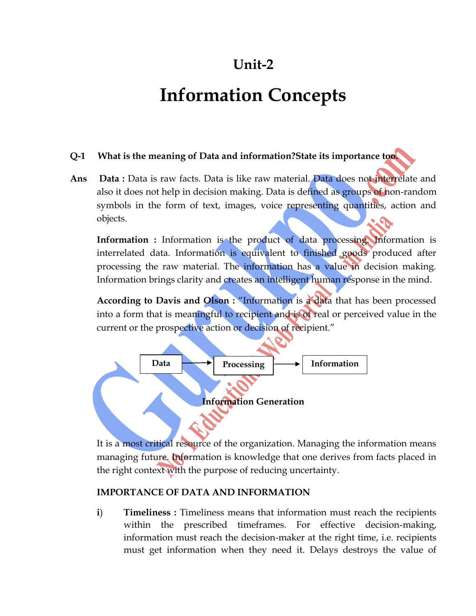# **Information Concepts**

#### **Q-1 What is the meaning of Data and information?State its importance too.**

**Ans Data :** Data is raw facts. Data is like raw material. Data does not interrelate and also it does not help in decision making. Data is defined as groups of non-random symbols in the form of text, images, voice representing quantities, action and objects.

**Information :** Information is the product of data processing. Information is interrelated data. Information is equivalent to finished goods produced after processing the raw material. The information has a value in decision making. Information brings clarity and creates an intelligent human response in the mind.

**According to Davis and Olson : "Information is a data that has been processed** into a form that is meaningful to recipient and is of real or perceived value in the current or the prospective action or decision of recipient."



It is a most critical resource of the organization. Managing the information means managing future. Information is knowledge that one derives from facts placed in the right context with the purpose of reducing uncertainty.

#### **IMPORTANCE OF DATA AND INFORMATION**

**i**) **Timeliness :** Timeliness means that information must reach the recipients within the prescribed timeframes. For effective decision-making, information must reach the decision-maker at the right time, i.e. recipients must get information when they need it. Delays destroys the value of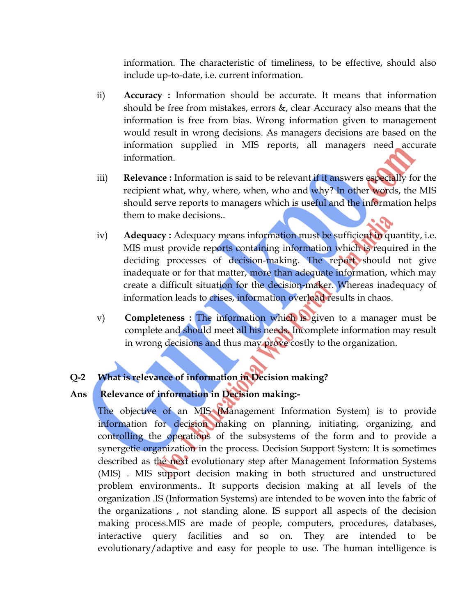information. The characteristic of timeliness, to be effective, should also include up-to-date, i.e. current information.

- ii) **Accuracy :** Information should be accurate. It means that information should be free from mistakes, errors &, clear Accuracy also means that the information is free from bias. Wrong information given to management would result in wrong decisions. As managers decisions are based on the information supplied in MIS reports, all managers need accurate information.
- iii) **Relevance :** Information is said to be relevant if it answers especially for the recipient what, why, where, when, who and why? In other words, the MIS should serve reports to managers which is useful and the information helps them to make decisions..
- iv) **Adequacy :** Adequacy means information must be sufficient in quantity, i.e. MIS must provide reports containing information which is required in the deciding processes of decision-making. The report should not give inadequate or for that matter, more than adequate information, which may create a difficult situation for the decision-maker. Whereas inadequacy of information leads to crises, information overload results in chaos.
- v) **Completeness :** The information which is given to a manager must be complete and should meet all his needs. Incomplete information may result in wrong decisions and thus may prove costly to the organization.

#### **Q-2 What is relevance of information in Decision making?**

#### **Ans Relevance of information in Decision making:-**

The objective of an MIS (Management Information System) is to provide information for decision making on planning, initiating, organizing, and controlling the operations of the subsystems of the form and to provide a synergetic organization in the process. Decision Support System: It is sometimes described as the next evolutionary step after Management Information Systems (MIS) . MIS support decision making in both structured and unstructured problem environments.. It supports decision making at all levels of the organization .IS (Information Systems) are intended to be woven into the fabric of the organizations , not standing alone. IS support all aspects of the decision making process.MIS are made of people, computers, procedures, databases, interactive query facilities and so on. They are intended to be evolutionary/adaptive and easy for people to use. The human intelligence is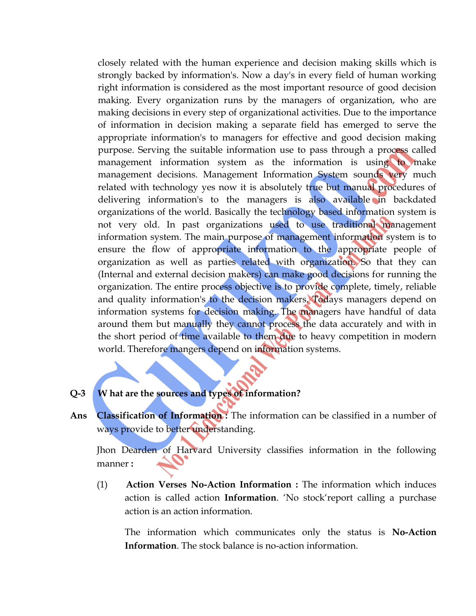closely related with the human experience and decision making skills which is strongly backed by information's. Now a day's in every field of human working right information is considered as the most important resource of good decision making. Every organization runs by the managers of organization, who are making decisions in every step of organizational activities. Due to the importance of information in decision making a separate field has emerged to serve the appropriate information's to managers for effective and good decision making purpose. Serving the suitable information use to pass through a process called management information system as the information is using to make management decisions. Management Information System sounds very much related with technology yes now it is absolutely true but manual procedures of delivering information's to the managers is also available in backdated organizations of the world. Basically the technology based information system is not very old. In past organizations used to use traditional management information system. The main purpose of management information system is to ensure the flow of appropriate information to the appropriate people of organization as well as parties related with organization. So that they can (Internal and external decision makers) can make good decisions for running the organization. The entire process objective is to provide complete, timely, reliable and quality information's to the decision makers. Todays managers depend on information systems for decision making. The managers have handful of data around them but manually they cannot process the data accurately and with in the short period of time available to them due to heavy competition in modern world. Therefore mangers depend on information systems.

- **Q-3 W hat are the sources and types of information?**
- **Ans Classification of Information :** The information can be classified in a number of ways provide to better understanding.

Jhon Dearden of Harvard University classifies information in the following manner **:**

(1) **Action Verses No-Action Information :** The information which induces action is called action **Information**. 'No stock'report calling a purchase action is an action information.

The information which communicates only the status is **No-Action Information**. The stock balance is no-action information.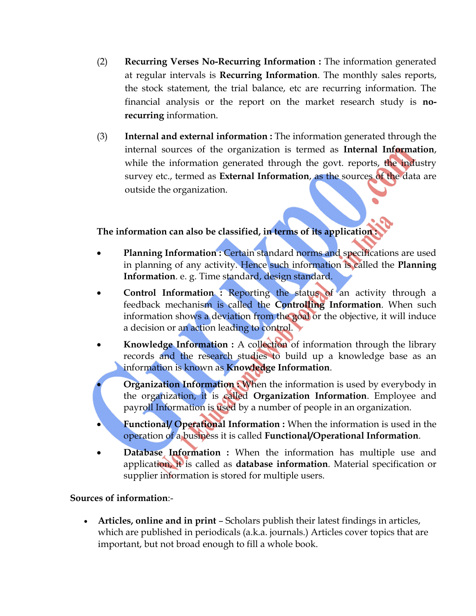- (2) **Recurring Verses No-Recurring Information :** The information generated at regular intervals is **Recurring Information**. The monthly sales reports, the stock statement, the trial balance, etc are recurring information. The financial analysis or the report on the market research study is **norecurring** information.
- (3) **Internal and external information :** The information generated through the internal sources of the organization is termed as **Internal Information**, while the information generated through the govt. reports, the industry survey etc., termed as **External Information**, as the sources of the data are outside the organization.

#### **The information can also be classified, in terms of its application :**

- **Planning Information : Certain standard norms and specifications are used** in planning of any activity. Hence such information is called the **Planning Information**. e. g. Time standard, design standard.
- **Control Information :** Reporting the status of an activity through a feedback mechanism is called the **Controlling Information**. When such information shows a deviation from the goal or the objective, it will induce a decision or an action leading to control.
- **Knowledge Information :** A collection of information through the library records and the research studies to build up a knowledge base as an information is known as **Knowledge Information**.
	- **Organization Information :** When the information is used by everybody in the organization, it is called **Organization Information**. Employee and payroll Information is used by a number of people in an organization.
- **Functional/ Operational Information :** When the information is used in the operation of a business it is called **Functional/Operational Information**.
- **Database Information :** When the information has multiple use and application, it is called as **database information**. Material specification or supplier information is stored for multiple users.

#### **Sources of information**:-

 **Articles, online and in print** – Scholars publish their latest findings in articles, which are published in periodicals (a.k.a. journals.) Articles cover topics that are important, but not broad enough to fill a whole book.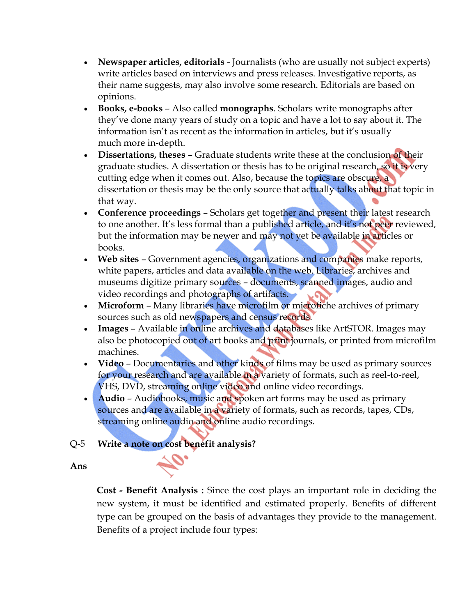- **Newspaper articles, editorials**  Journalists (who are usually not subject experts) write articles based on interviews and press releases. Investigative reports, as their name suggests, may also involve some research. Editorials are based on opinions.
- **Books, e-books** Also called **monographs**. Scholars write monographs after they've done many years of study on a topic and have a lot to say about it. The information isn't as recent as the information in articles, but it's usually much more in-depth.
- **Dissertations, theses** Graduate students write these at the conclusion of their graduate studies. A dissertation or thesis has to be original research, so it is very cutting edge when it comes out. Also, because the topics are obscure, a dissertation or thesis may be the only source that actually talks about that topic in that way.
- **Conference proceedings** Scholars get together and present their latest research to one another. It's less formal than a published article, and it's not peer reviewed, but the information may be newer and may not yet be available in articles or books.
- **Web sites** Government agencies, organizations and companies make reports, white papers, articles and data available on the web. Libraries, archives and museums digitize primary sources – documents, scanned images, audio and video recordings and photographs of artifacts.
- **Microform** Many libraries have microfilm or microfiche archives of primary sources such as old newspapers and census records.
- **Images** Available in online archives and databases like ArtSTOR. Images may also be photocopied out of art books and print journals, or printed from microfilm machines.
- **Video** Documentaries and other kinds of films may be used as primary sources for your research and are available in a variety of formats, such as reel-to-reel, VHS, DVD, streaming online video and online video recordings.
- **Audio** Audiobooks, music and spoken art forms may be used as primary sources and are available in a variety of formats, such as records, tapes, CDs, streaming online audio and online audio recordings.
- Q-5 **Write a note on cost benefit analysis?**

**Ans**

**Cost - Benefit Analysis :** Since the cost plays an important role in deciding the new system, it must be identified and estimated properly. Benefits of different type can be grouped on the basis of advantages they provide to the management. Benefits of a project include four types: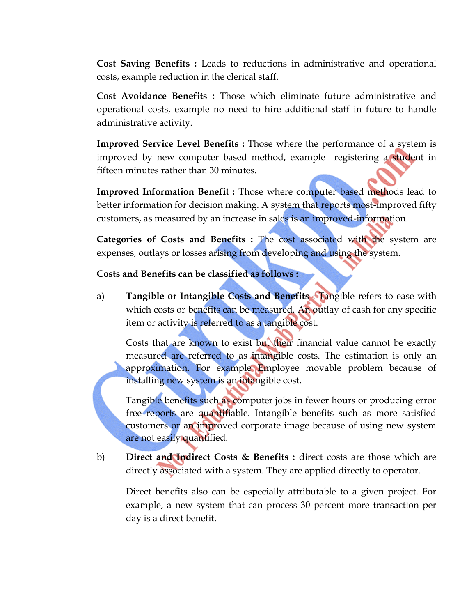**Cost Saving Benefits :** Leads to reductions in administrative and operational costs, example reduction in the clerical staff.

**Cost Avoidance Benefits :** Those which eliminate future administrative and operational costs, example no need to hire additional staff in future to handle administrative activity.

**Improved Service Level Benefits :** Those where the performance of a system is improved by new computer based method, example registering a student in fifteen minutes rather than 30 minutes.

**Improved Information Benefit :** Those where computer based methods lead to better information for decision making. A system that reports most-improved fifty customers, as measured by an increase in sales is an improved-information.

**Categories of Costs and Benefits :** The cost associated with the system are expenses, outlays or losses arising from developing and using the system.

**Costs and Benefits can be classified as follows :**

a) **Tangible or Intangible Costs and Benefits** : Tangible refers to ease with which costs or benefits can be measured. An outlay of cash for any specific item or activity is referred to as a tangible cost.

Costs that are known to exist but their financial value cannot be exactly measured are referred to as intangible costs. The estimation is only an approximation. For example Employee movable problem because of installing new system is an intangible cost.

Tangible benefits such as computer jobs in fewer hours or producing error free reports are quantifiable. Intangible benefits such as more satisfied customers or an improved corporate image because of using new system are not easily quantified.

b) **Direct and Indirect Costs & Benefits :** direct costs are those which are directly associated with a system. They are applied directly to operator.

Direct benefits also can be especially attributable to a given project. For example, a new system that can process 30 percent more transaction per day is a direct benefit.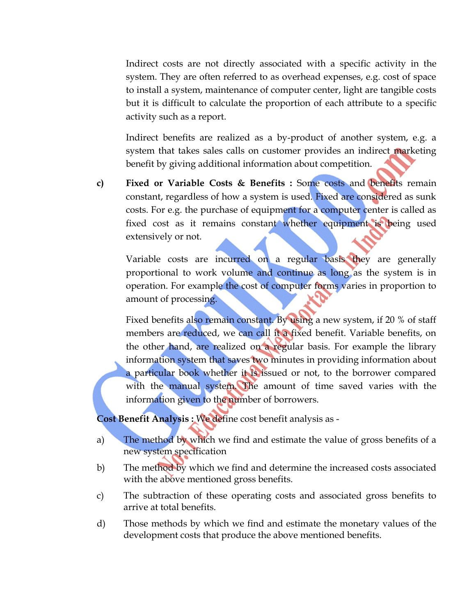Indirect costs are not directly associated with a specific activity in the system. They are often referred to as overhead expenses, e.g. cost of space to install a system, maintenance of computer center, light are tangible costs but it is difficult to calculate the proportion of each attribute to a specific activity such as a report.

Indirect benefits are realized as a by-product of another system, e.g. a system that takes sales calls on customer provides an indirect marketing benefit by giving additional information about competition.

**c) Fixed or Variable Costs & Benefits :** Some costs and benefits remain constant, regardless of how a system is used. Fixed are considered as sunk costs. For e.g. the purchase of equipment for a computer center is called as fixed cost as it remains constant whether equipment is being used extensively or not.

Variable costs are incurred on a regular basis they are generally proportional to work volume and continue as long as the system is in operation. For example the cost of computer forms varies in proportion to amount of processing.

Fixed benefits also remain constant. By using a new system, if 20 % of staff members are reduced, we can call it a fixed benefit. Variable benefits, on the other hand, are realized on a regular basis. For example the library information system that saves two minutes in providing information about a particular book whether it is issued or not, to the borrower compared with the manual system. The amount of time saved varies with the information given to the number of borrowers.

**Cost Benefit Analysis :** We define cost benefit analysis as -

- a) The method by which we find and estimate the value of gross benefits of a new system specification
- b) The method by which we find and determine the increased costs associated with the above mentioned gross benefits.
- c) The subtraction of these operating costs and associated gross benefits to arrive at total benefits.
- d) Those methods by which we find and estimate the monetary values of the development costs that produce the above mentioned benefits.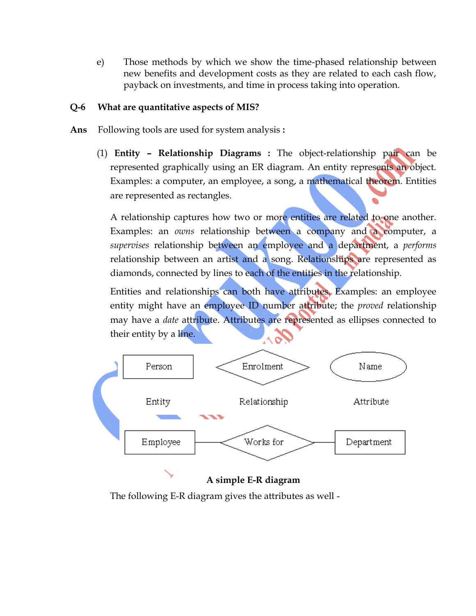e) Those methods by which we show the time-phased relationship between new benefits and development costs as they are related to each cash flow, payback on investments, and time in process taking into operation.

#### **Q-6 What are quantitative aspects of MIS?**

- **Ans** Following tools are used for system analysis **:**
	- (1) **Entity – Relationship Diagrams :** The object-relationship pair can be represented graphically using an ER diagram. An entity represents an object. Examples: a computer, an employee, a song, a mathematical theorem. Entities are represented as rectangles.

A relationship captures how two or more entities are related to one another. Examples: an *owns* relationship between a company and a computer, a *supervises* relationship between an employee and a department, a *performs* relationship between an artist and a song. Relationships are represented as diamonds, connected by lines to each of the entities in the relationship.

Entities and relationships can both have attributes. Examples: an employee entity might have an employee ID number attribute; the *proved* relationship may have a *date* attribute. Attributes are represented as ellipses connected to their entity by a line.



**A simple E-R diagram**

The following E-R diagram gives the attributes as well -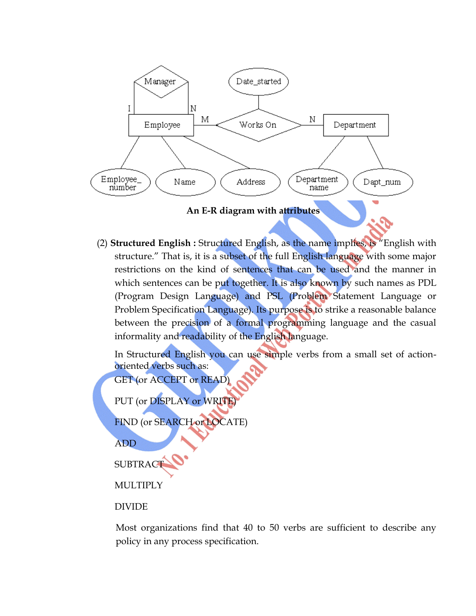

**An E-R diagram with attributes**

(2) **Structured English : Structured English, as the name implies, is "English with** structure." That is, it is a subset of the full English language with some major restrictions on the kind of sentences that can be used and the manner in which sentences can be put together. It is also known by such names as PDL (Program Design Language) and PSL (Problem Statement Language or Problem Specification Language). Its purpose is to strike a reasonable balance between the precision of a formal programming language and the casual informality and readability of the English language.

In Structured English you can use simple verbs from a small set of actionoriented verbs such as:

GET (or ACCEPT or READ)

PUT (or DISPLAY or WRITE)

FIND (or SEARCH or LOCATE)

ADD

**SUBTRACT** 

MULTIPLY

DIVIDE

Most organizations find that 40 to 50 verbs are sufficient to describe any policy in any process specification.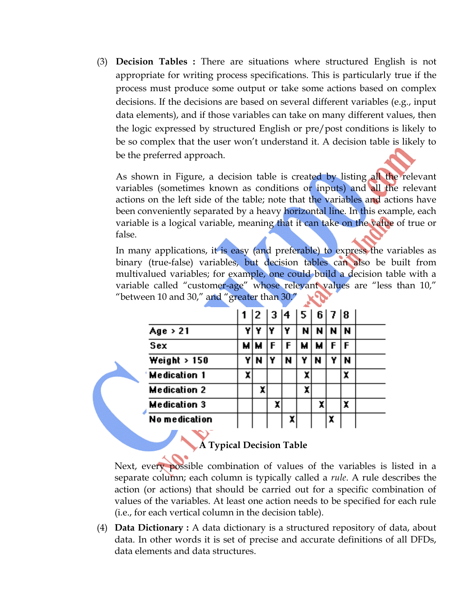(3) **Decision Tables :** There are situations where structured English is not appropriate for writing process specifications. This is particularly true if the process must produce some output or take some actions based on complex decisions. If the decisions are based on several different variables (e.g., input data elements), and if those variables can take on many different values, then the logic expressed by structured English or pre/post conditions is likely to be so complex that the user won't understand it. A decision table is likely to be the preferred approach.

As shown in Figure, a decision table is created by listing all the relevant variables (sometimes known as conditions or inputs) and all the relevant actions on the left side of the table; note that the variables and actions have been conveniently separated by a heavy horizontal line. In this example, each variable is a logical variable, meaning that it can take on the value of true or false.

In many applications, it is easy (and preferable) to express the variables as binary (true-false) variables, but decision tables can also be built from multivalued variables; for example, one could build a decision table with a variable called "customer-age" whose relevant values are "less than 10," "between 10 and 30," and "greater than 30."

|                     |   |   |   | 1 2 3 4 5 6 7 8 |   |   |   |     |  |
|---------------------|---|---|---|-----------------|---|---|---|-----|--|
| Age $> 21$          |   |   |   |                 | N | N | N | N   |  |
| Sex                 | м | м | F | F               | м | м | F | l F |  |
| Weight $> 150$      |   |   |   | N               | Y | N |   | N   |  |
| <b>Medication 1</b> |   |   |   |                 |   |   |   |     |  |
| <b>Medication 2</b> |   |   |   |                 |   |   |   |     |  |
| <b>Medication 3</b> |   |   |   |                 |   |   |   |     |  |
| No medication       |   |   |   |                 |   |   |   |     |  |

#### **A Typical Decision Table**

Next, every possible combination of values of the variables is listed in a separate column; each column is typically called a *rule*. A rule describes the action (or actions) that should be carried out for a specific combination of values of the variables. At least one action needs to be specified for each rule (i.e., for each vertical column in the decision table).

(4) **Data Dictionary :** A data dictionary is a structured repository of data, about data. In other words it is set of precise and accurate definitions of all DFDs, data elements and data structures.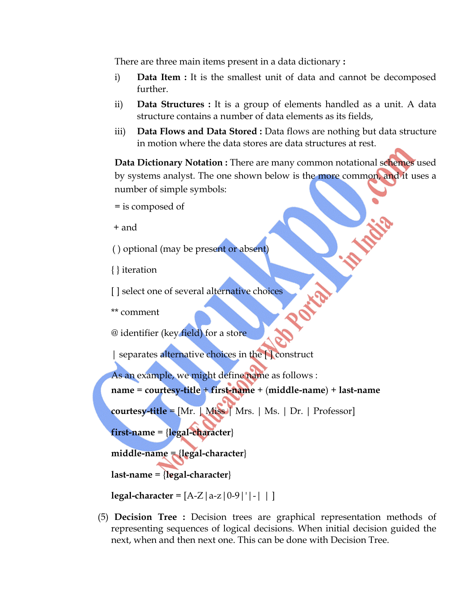There are three main items present in a data dictionary **:**

- i) **Data Item :** It is the smallest unit of data and cannot be decomposed further.
- ii) **Data Structures :** It is a group of elements handled as a unit. A data structure contains a number of data elements as its fields,
- iii) **Data Flows and Data Stored :** Data flows are nothing but data structure in motion where the data stores are data structures at rest.

**Data Dictionary Notation :** There are many common notational schemes used by systems analyst. The one shown below is the more common, and it uses a number of simple symbols:

= is composed of

+ and

( ) optional (may be present or absent)

{ } iteration

[] select one of several alternative choices

\*\* comment

@ identifier (key field) for a store

| separates alternative choices in the [ ] construct

As an example, we might define name as follows :

**name** = **courtesy-title** + **first-name** + (**middle-name**) + **last-name**

**courtesy-title** = [Mr. | Miss | Mrs. | Ms. | Dr. | Professor]

**first-name** = {**legal-character**}

**middle-name** = {**legal-character**}

**last-name** = {**legal-character**}

**legal-character** = [A-Z|a-z|0-9|'|-| | ]

(5) **Decision Tree :** Decision trees are graphical representation methods of representing sequences of logical decisions. When initial decision guided the next, when and then next one. This can be done with Decision Tree.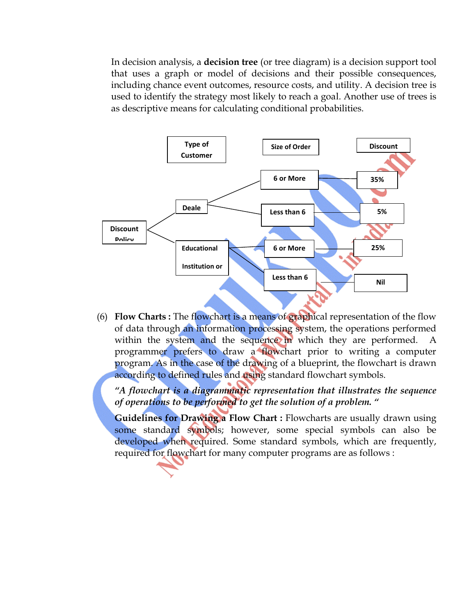In decision analysis, a **decision tree** (or tree diagram) is a decision support tool that uses a graph or model of decisions and their possible consequences, including chance event outcomes, resource costs, and utility. A decision tree is used to identify the strategy most likely to reach a goal. Another use of trees is as descriptive means for calculating conditional probabilities.



(6) **Flow Charts :** The flowchart is a means of graphical representation of the flow of data through an information processing system, the operations performed within the system and the sequence in which they are performed. A programmer prefers to draw a flowchart prior to writing a computer program. As in the case of the drawing of a blueprint, the flowchart is drawn according to defined rules and using standard flowchart symbols.

*"A flowchart is a diagrammatic representation that illustrates the sequence of operations to be performed to get the solution of a problem. "*

**Guidelines for Drawing a Flow Chart : Flowcharts are usually drawn using** some standard symbols; however, some special symbols can also be developed when required. Some standard symbols, which are frequently, required for flowchart for many computer programs are as follows :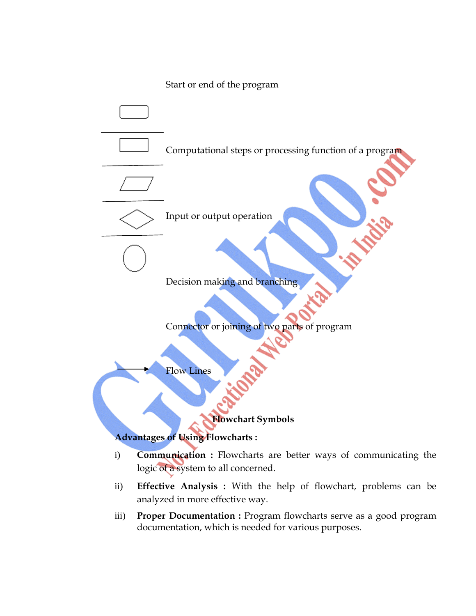Start or end of the program



iii) **Proper Documentation :** Program flowcharts serve as a good program documentation, which is needed for various purposes.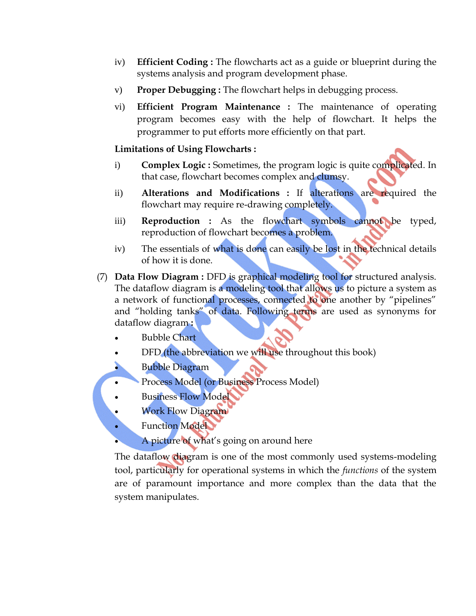- iv) **Efficient Coding :** The flowcharts act as a guide or blueprint during the systems analysis and program development phase.
- v) **Proper Debugging :** The flowchart helps in debugging process.
- vi) **Efficient Program Maintenance :** The maintenance of operating program becomes easy with the help of flowchart. It helps the programmer to put efforts more efficiently on that part.

#### **Limitations of Using Flowcharts :**

- i) **Complex Logic :** Sometimes, the program logic is quite complicated. In that case, flowchart becomes complex and clumsy.
- ii) **Alterations and Modifications :** If alterations are required the flowchart may require re-drawing completely.
- iii) **Reproduction :** As the flowchart symbols cannot be typed, reproduction of flowchart becomes a problem.
- iv) The essentials of what is done can easily be lost in the technical details of how it is done.
- (7) **Data Flow Diagram :** DFD is graphical modeling tool for structured analysis. The dataflow diagram is a modeling tool that allows us to picture a system as a network of functional processes, connected to one another by "pipelines" and "holding tanks" of data. Following terms are used as synonyms for dataflow diagram **:**
	- Bubble Chart
	- DFD (the abbreviation we will use throughout this book)
		- Bubble Diagram
		- Process Model (or Business Process Model)
	- Business Flow Model
	- Work Flow Diagram
	- Function Model
	- A picture of what's going on around here

The dataflow diagram is one of the most commonly used systems-modeling tool, particularly for operational systems in which the *functions* of the system are of paramount importance and more complex than the data that the system manipulates.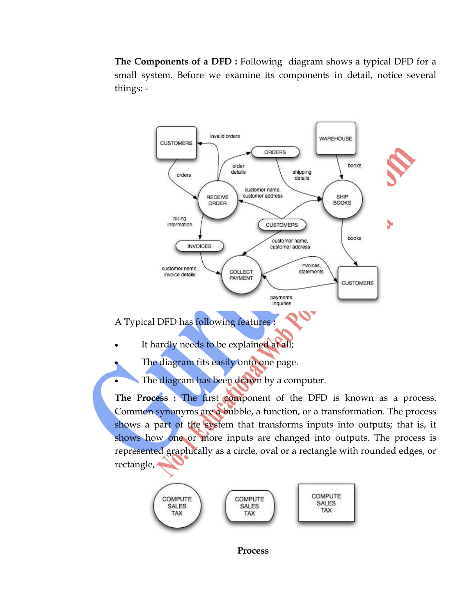**The Components of a DFD :** Following diagram shows a typical DFD for a small system. Before we examine its components in detail, notice several things: -



A Typical DFD has following features **:**

- It hardly needs to be explained at all;
	- The diagram fits easily onto one page.

The diagram has been drawn by a computer.

**The Process :** The first component of the DFD is known as a process. Common synonyms are a bubble, a function, or a transformation. The process shows a part of the system that transforms inputs into outputs; that is, it shows how one or more inputs are changed into outputs. The process is represented graphically as a circle, oval or a rectangle with rounded edges, or rectangle,



**Process**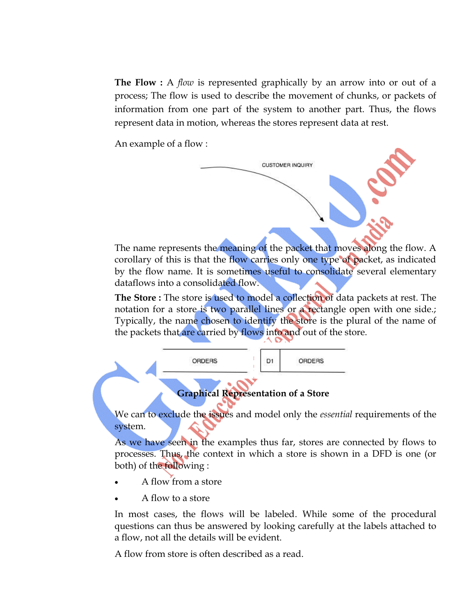**The Flow :** A *flow* is represented graphically by an arrow into or out of a process; The flow is used to describe the movement of chunks, or packets of information from one part of the system to another part. Thus, the flows represent data in motion, whereas the stores represent data at rest.

**CUSTOMER INQUIRY** 

An example of a flow :

The name represents the meaning of the packet that moves along the flow. A corollary of this is that the flow carries only one type of packet, as indicated by the flow name. It is sometimes useful to consolidate several elementary dataflows into a consolidated flow.

**The Store :** The store is used to model a collection of data packets at rest. The notation for a store is two parallel lines or a rectangle open with one side.; Typically, the name chosen to identify the store is the plural of the name of the packets that are carried by flows into and out of the store.



#### **Graphical Representation of a Store**

We can to exclude the issues and model only the *essential* requirements of the system.

As we have seen in the examples thus far, stores are connected by flows to processes. Thus, the context in which a store is shown in a DFD is one (or both) of the following :

- A flow from a store
- A flow to a store

In most cases, the flows will be labeled. While some of the procedural questions can thus be answered by looking carefully at the labels attached to a flow, not all the details will be evident.

A flow from store is often described as a read.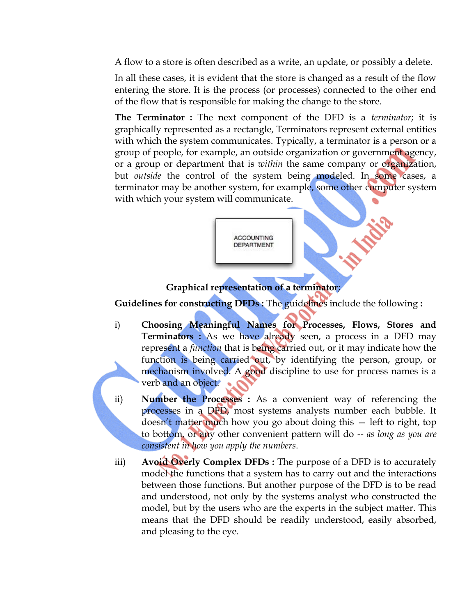A flow to a store is often described as a write, an update, or possibly a delete.

In all these cases, it is evident that the store is changed as a result of the flow entering the store. It is the process (or processes) connected to the other end of the flow that is responsible for making the change to the store.

**The Terminator :** The next component of the DFD is a *terminator*; it is graphically represented as a rectangle, Terminators represent external entities with which the system communicates. Typically, a terminator is a person or a group of people, for example, an outside organization or government agency, or a group or department that is *within* the same company or organization, but *outside* the control of the system being modeled. In some cases, a terminator may be another system, for example, some other computer system with which your system will communicate.



#### **Graphical representation of a terminator**;

**Guidelines for constructing DFDs :** The guidelines include the following **:**

- i) **Choosing Meaningful Names for Processes, Flows, Stores and Terminators :** As we have already seen, a process in a DFD may represent a *function* that is being carried out, or it may indicate how the function is being carried out, by identifying the person, group, or mechanism involved. A good discipline to use for process names is a verb and an object.
- ii) **Number the Processes :** As a convenient way of referencing the processes in a DFD, most systems analysts number each bubble. It doesn't matter much how you go about doing this — left to right, top to bottom, or any other convenient pattern will do -- *as long as you are consistent in how you apply the numbers*.
- iii) **Avoid Overly Complex DFDs :** The purpose of a DFD is to accurately model the functions that a system has to carry out and the interactions between those functions. But another purpose of the DFD is to be read and understood, not only by the systems analyst who constructed the model, but by the users who are the experts in the subject matter. This means that the DFD should be readily understood, easily absorbed, and pleasing to the eye.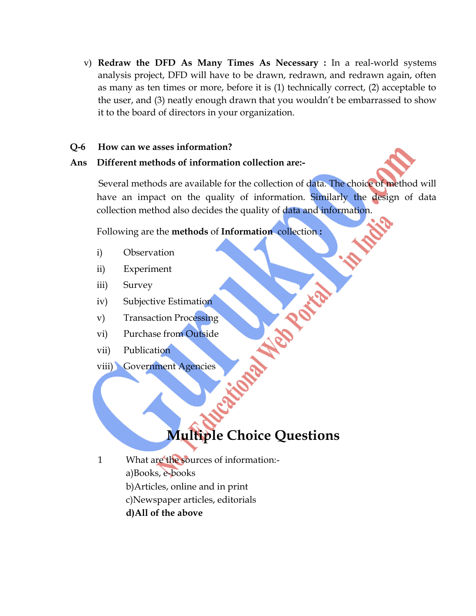v) **Redraw the DFD As Many Times As Necessary :** In a real-world systems analysis project, DFD will have to be drawn, redrawn, and redrawn again, often as many as ten times or more, before it is (1) technically correct, (2) acceptable to the user, and (3) neatly enough drawn that you wouldn't be embarrassed to show it to the board of directors in your organization.

#### **Q-6 How can we asses information?**

#### **Ans Different methods of information collection are:-**

Several methods are available for the collection of data. The choice of method will have an impact on the quality of information. Similarly the design of data collection method also decides the quality of data and information.

Mandath R.

Following are the **methods** of **Information** collection **:**

- i) Observation
- ii) Experiment
- iii) Survey
- iv) Subjective Estimation
- v) Transaction Processing
- vi) Purchase from Outside
- vii) Publication
- viii) Government Agencies

# **Multiple Choice Questions**

1 What are the sources of information: a)Books, e-books b)Articles, online and in print c)Newspaper articles, editorials **d)All of the above**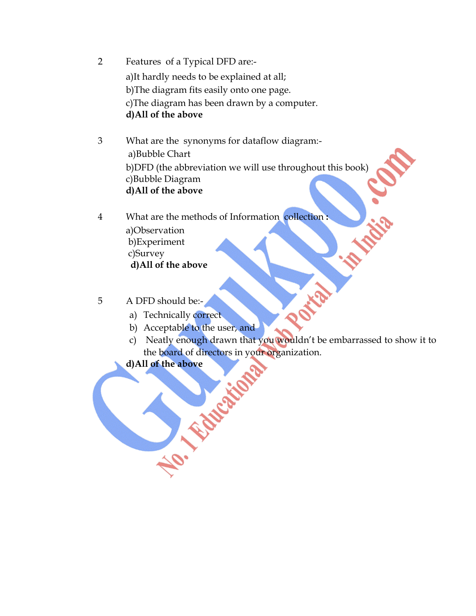- 2 Featuresof a Typical DFD are: a)It hardly needs to be explained at all; b)The diagram fits easily onto one page. c)The diagram has been drawn by a computer. **d)All of the above**
- 3 What are the synonyms for dataflow diagram: a)Bubble Chart b)DFD (the abbreviation we will use throughout this book) c)Bubble Diagram **d)All of the above**
- 4 What are the methods of Information collection **:** a)Observation b)Experiment c)Survey **d)All of the above**

#### 5 A DFD should be:-

- a) Technically correct
- b) Acceptable to the user, and
- c) Neatly enough drawn that you wouldn't be embarrassed to show it to the board of directors in your organization.

#### **d)All of the above**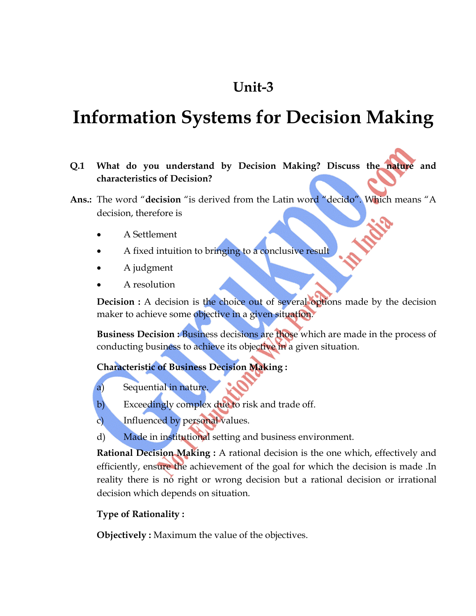### **Unit-3**

# **Information Systems for Decision Making**

#### **Q.1 What do you understand by Decision Making? Discuss the nature and characteristics of Decision?**

- **Ans.:** The word "decision "is derived from the Latin word "decido". Which means "A decision, therefore is
	- A Settlement
	- A fixed intuition to bringing to a conclusive result
	- A judgment
	- A resolution

**Decision :** A decision is the choice out of several options made by the decision maker to achieve some objective in a given situation.

**Business Decision : Business decisions are those which are made in the process of** conducting business to achieve its objective in a given situation.

#### **Characteristic of Business Decision Making :**

- a) Sequential in nature.
- b) Exceedingly complex due to risk and trade off.
- c) Influenced by personal values.
- d) Made in institutional setting and business environment.

**Rational Decision Making :** A rational decision is the one which, effectively and efficiently, ensure the achievement of the goal for which the decision is made .In reality there is no right or wrong decision but a rational decision or irrational decision which depends on situation.

#### **Type of Rationality :**

**Objectively :** Maximum the value of the objectives.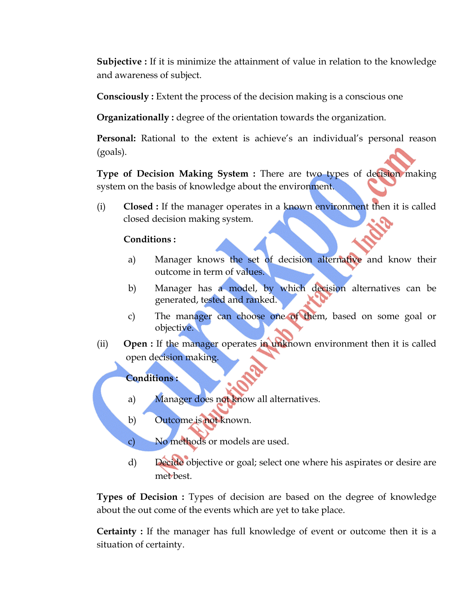**Subjective :** If it is minimize the attainment of value in relation to the knowledge and awareness of subject.

**Consciously :** Extent the process of the decision making is a conscious one

**Organizationally :** degree of the orientation towards the organization.

**Personal:** Rational to the extent is achieve's an individual's personal reason (goals).

**Type of Decision Making System :** There are two types of decision making system on the basis of knowledge about the environment.

(i) **Closed :** If the manager operates in a known environment then it is called closed decision making system.

#### **Conditions :**

- a) Manager knows the set of decision alternative and know their outcome in term of values.
- b) Manager has a model, by which decision alternatives can be generated, tested and ranked.
- c) The manager can choose one of them, based on some goal or objective.
- (ii) **Open :** If the manager operates in unknown environment then it is called open decision making.

#### **Conditions :**

- a) Manager does not know all alternatives.
- b) Outcome is not known.
- c) No methods or models are used.
- d) Decide objective or goal; select one where his aspirates or desire are met best.

**Types of Decision :** Types of decision are based on the degree of knowledge about the out come of the events which are yet to take place.

**Certainty :** If the manager has full knowledge of event or outcome then it is a situation of certainty.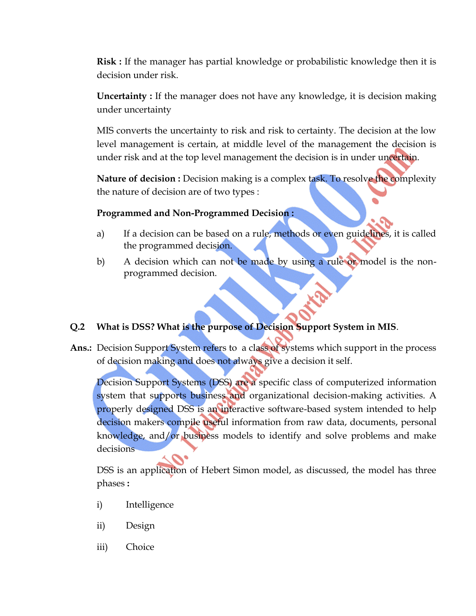**Risk :** If the manager has partial knowledge or probabilistic knowledge then it is decision under risk.

**Uncertainty :** If the manager does not have any knowledge, it is decision making under uncertainty

MIS converts the uncertainty to risk and risk to certainty. The decision at the low level management is certain, at middle level of the management the decision is under risk and at the top level management the decision is in under uncertain.

**Nature of decision :** Decision making is a complex task. To resolve the complexity the nature of decision are of two types :

#### **Programmed and Non-Programmed Decision :**

- a) If a decision can be based on a rule, methods or even guidelines, it is called the programmed decision.
- b) A decision which can not be made by using a rule or model is the nonprogrammed decision.

#### **Q.2 What is DSS? What is the purpose of Decision Support System in MIS**.

Ans.: Decision Support System refers to a class of systems which support in the process of decision making and does not always give a decision it self.

Decision Support Systems (DSS) are a specific class of computerized information system that supports business and organizational decision-making activities. A properly designed DSS is an interactive software-based system intended to help decision makers compile useful information from raw data, documents, personal knowledge, and/or business models to identify and solve problems and make decisions

DSS is an application of Hebert Simon model, as discussed, the model has three phases **:**

- i) Intelligence
- ii) Design
- iii) Choice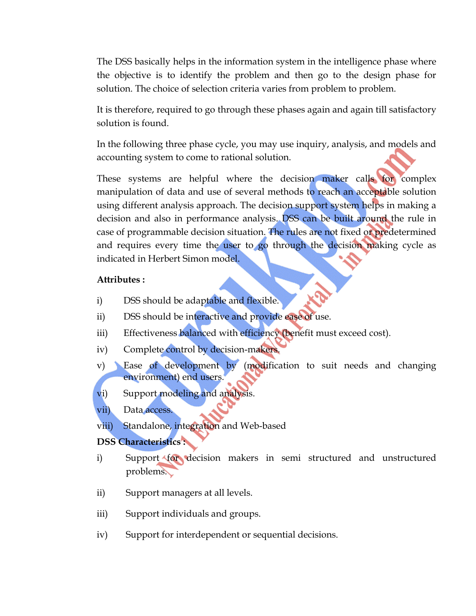The DSS basically helps in the information system in the intelligence phase where the objective is to identify the problem and then go to the design phase for solution. The choice of selection criteria varies from problem to problem.

It is therefore, required to go through these phases again and again till satisfactory solution is found.

In the following three phase cycle, you may use inquiry, analysis, and models and accounting system to come to rational solution.

These systems are helpful where the decision maker calls for complex manipulation of data and use of several methods to reach an acceptable solution using different analysis approach. The decision support system helps in making a decision and also in performance analysis. DSS can be built around the rule in case of programmable decision situation. The rules are not fixed or predetermined and requires every time the user to go through the decision making cycle as indicated in Herbert Simon model.

#### **Attributes :**

- i) DSS should be adaptable and flexible.
- ii) DSS should be interactive and provide ease of use.
- iii) Effectiveness balanced with efficiency (benefit must exceed cost).
- iv) Complete control by decision-makers.
- v) Ease of development by (modification to suit needs and changing environment) end users.
- vi) Support modeling and analysis.
- vii) Data access.
- viii) Standalone, integration and Web-based

#### **DSS Characteristics :**

- i) Support for decision makers in semi structured and unstructured problems.
- ii) Support managers at all levels.
- iii) Support individuals and groups.
- iv) Support for interdependent or sequential decisions.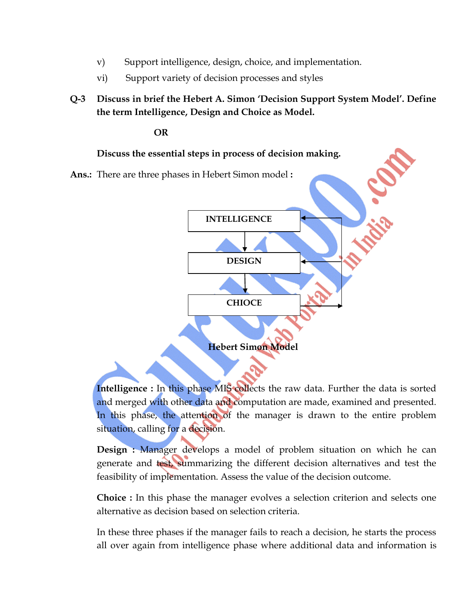- v) Support intelligence, design, choice, and implementation.
- vi) Support variety of decision processes and styles

**Q-3 Discuss in brief the Hebert A. Simon 'Decision Support System Model'. Define the term Intelligence, Design and Choice as Model.**

**OR**



**Intelligence :** In this phase MIS collects the raw data. Further the data is sorted and merged with other data and computation are made, examined and presented. In this phase, the attention of the manager is drawn to the entire problem situation, calling for a decision.

**Design :** Manager develops a model of problem situation on which he can generate and test, summarizing the different decision alternatives and test the feasibility of implementation. Assess the value of the decision outcome.

**Choice :** In this phase the manager evolves a selection criterion and selects one alternative as decision based on selection criteria.

In these three phases if the manager fails to reach a decision, he starts the process all over again from intelligence phase where additional data and information is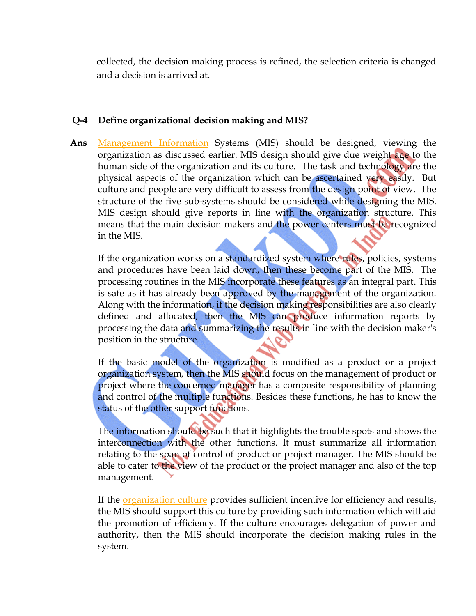collected, the decision making process is refined, the selection criteria is changed and a decision is arrived at.

#### **Q-4 Define organizational decision making and MIS?**

**Ans** [Management Information](http://www.openlearningworld.com/books/Fundamentals%20of%20MIS/STRUCTURE%20AND%20THEORY%20OF%20ORGANISATION/MIS%20-%20Organization.html) Systems (MIS) should be designed, viewing the organization as discussed earlier. MIS design should give due weight age to the human side of the organization and its culture. The task and technology are the physical aspects of the organization which can be ascertained very easily. But culture and people are very difficult to assess from the design point of view. The structure of the five sub-systems should be considered while designing the MIS. MIS design should give reports in line with the organization structure. This means that the main decision makers and the power centers must be recognized in the MIS.

If the organization works on a standardized system where rules, policies, systems and procedures have been laid down, then these become part of the MIS. The processing routines in the MIS incorporate these features as an integral part. This is safe as it has already been approved by the management of the organization. Along with the information, if the decision making responsibilities are also clearly defined and allocated, then the MIS can produce information reports by processing the data and summarizing the results in line with the decision maker's position in the structure.

If the basic model of the organization is modified as a product or a project organization system, then the MIS should focus on the management of product or project where the concerned manager has a composite responsibility of planning and control of the multiple functions. Besides these functions, he has to know the status of the other support functions.

The information should be such that it highlights the trouble spots and shows the interconnection with the other functions. It must summarize all information relating to the span of control of product or project manager. The MIS should be able to cater to the view of the product or the project manager and also of the top management.

If the <u>organization culture</u> provides sufficient incentive for efficiency and results, the MIS should support this culture by providing such information which will aid the promotion of efficiency. If the culture encourages delegation of power and authority, then the MIS should incorporate the decision making rules in the system.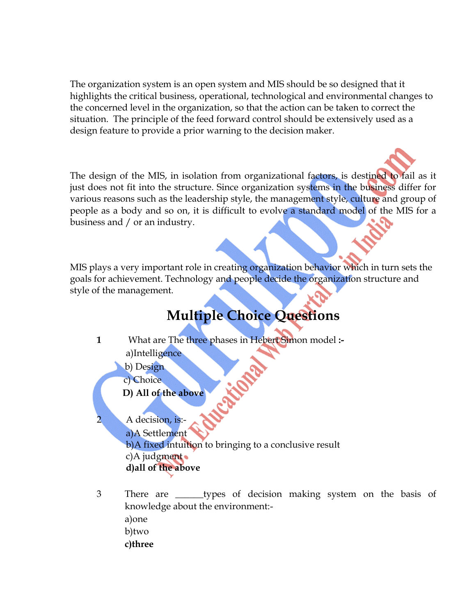The organization system is an open system and MIS should be so designed that it highlights the critical business, operational, technological and environmental changes to the concerned level in the organization, so that the action can be taken to correct the situation. The principle of the feed forward control should be extensively used as a design feature to provide a prior warning to the decision maker.

The design of the MIS, in isolation from organizational factors, is destined to fail as it just does not fit into the structure. Since organization systems in the business differ for various reasons such as the leadership style, the management style, culture and group of people as a body and so on, it is difficult to evolve a standard model of the MIS for a business and / or an industry.

MIS plays a very important role in creating organization behavior which in turn sets the goals for achievement. Technology and people decide the organization structure and style of the management.

### **Multiple Choice Questions**

- **1** What are The three phases in Hebert Simon model **:** a)Intelligence
	- b) Design
	- c) Choice **D) All of the above**
	- A decision, is:-

a)A Settlement b)A fixed intuition to bringing to a conclusive result c) $A$  judgment **d)all of the above**

3 There are \_\_\_\_\_\_types of decision making system on the basis of knowledge about the environment: a)one b)two **c)three**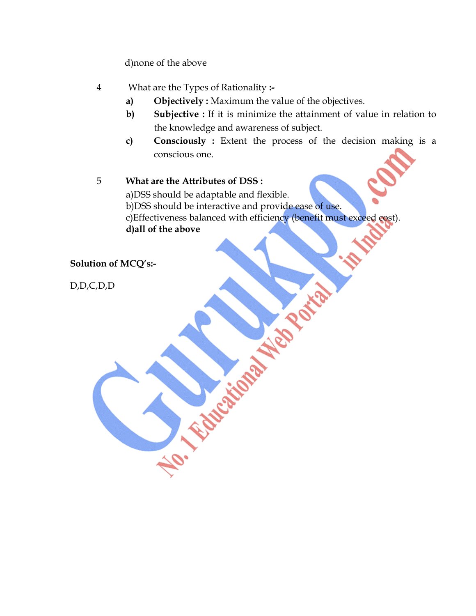d)none of the above

- 4 What are the Types of Rationality **:**
	- **a) Objectively :** Maximum the value of the objectives.
	- **b) Subjective :** If it is minimize the attainment of value in relation to the knowledge and awareness of subject.
	- **c) Consciously :** Extent the process of the decision making is a conscious one.

New York

5 **What are the Attributes of DSS :** a)DSS should be adaptable and flexible. b)DSS should be interactive and provide ease of use. c)Effectiveness balanced with efficiency (benefit must exceed cost). **d)all of the above**

Nucational

**Solution of MCQ's:-**

D,D,C,D,D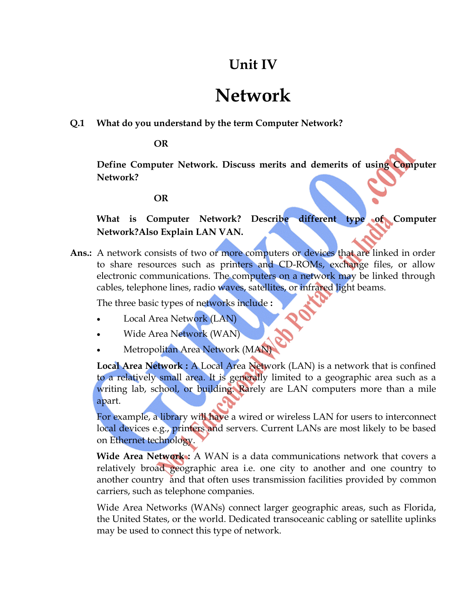### **Unit IV**

# **Network**

#### **Q.1 What do you understand by the term Computer Network?**

#### **OR**

**Define Computer Network. Discuss merits and demerits of using Computer Network?**

#### **OR**

**What is Computer Network? Describe different type of Computer Network?Also Explain LAN VAN.**

Ans.: A network consists of two or more computers or devices that are linked in order to share resources such as printers and CD-ROMs, exchange files, or allow electronic communications. The computers on a network may be linked through cables, telephone lines, radio waves, satellites, or infrared light beams.

The three basic types of networks include **:**

- Local Area Network (LAN)
- Wide Area Network (WAN)
- Metropolitan Area Network (MAN)

Local Area Network : A Local Area Network (LAN) is a network that is confined to a relatively small area. It is generally limited to a geographic area such as a writing lab, school, or building. Rarely are LAN computers more than a mile apart.

For example, a library will have a wired or wireless LAN for users to interconnect local devices e.g., printers and servers. Current LANs are most likely to be based on Ethernet technology.

Wide Area Network: A WAN is a data communications network that covers a relatively broad geographic area i.e. one city to another and one country to another country and that often uses transmission facilities provided by common carriers, such as telephone companies.

Wide Area Networks (WANs) connect larger geographic areas, such as Florida, the United States, or the world. Dedicated transoceanic cabling or satellite uplinks may be used to connect this type of network.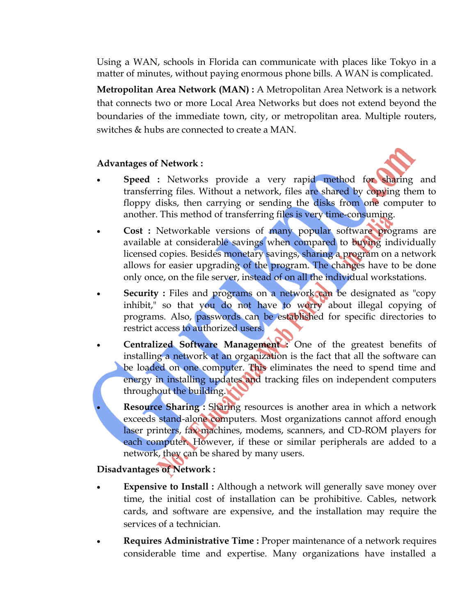Using a WAN, schools in Florida can communicate with places like Tokyo in a matter of minutes, without paying enormous phone bills. A WAN is complicated.

**Metropolitan Area Network (MAN) :** A Metropolitan Area Network is a network that connects two or more Local Area Networks but does not extend beyond the boundaries of the immediate town, city, or metropolitan area. Multiple routers, switches & hubs are connected to create a MAN.

#### **Advantages of Network :**

- **Speed :** Networks provide a very rapid method for sharing and transferring files. Without a network, files are shared by copying them to floppy disks, then carrying or sending the disks from one computer to another. This method of transferring files is very time-consuming.
- **Cost :** Networkable versions of many popular software programs are available at considerable savings when compared to buying individually licensed copies. Besides monetary savings, sharing a program on a network allows for easier upgrading of the program. The changes have to be done only once, on the file server, instead of on all the individual workstations.
- **Security** : Files and programs on a network can be designated as "copy" inhibit," so that you do not have to worry about illegal copying of programs. Also, passwords can be established for specific directories to restrict access to authorized users.
- **Centralized Software Management :** One of the greatest benefits of installing a network at an organization is the fact that all the software can be loaded on one computer. This eliminates the need to spend time and energy in installing updates and tracking files on independent computers throughout the building.
- **Resource Sharing :** Sharing resources is another area in which a network exceeds stand-alone computers. Most organizations cannot afford enough laser printers, fax machines, modems, scanners, and CD-ROM players for each computer. However, if these or similar peripherals are added to a network, they can be shared by many users.

#### **Disadvantages of Network :**

- **Expensive to Install :** Although a network will generally save money over time, the initial cost of installation can be prohibitive. Cables, network cards, and software are expensive, and the installation may require the services of a technician.
- **Requires Administrative Time :** Proper maintenance of a network requires considerable time and expertise. Many organizations have installed a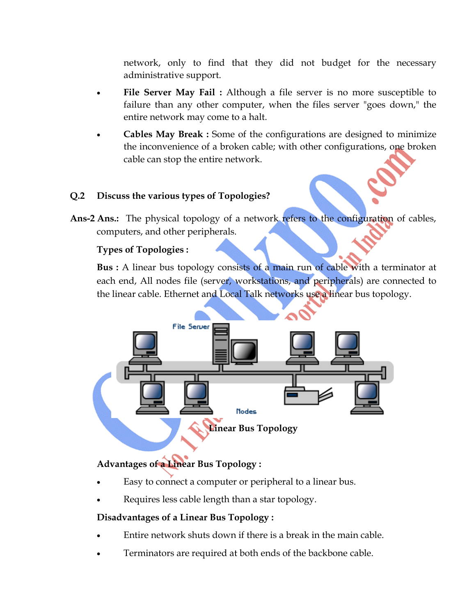network, only to find that they did not budget for the necessary administrative support.

- **File Server May Fail :** Although a file server is no more susceptible to failure than any other computer, when the files server "goes down," the entire network may come to a halt.
- **Cables May Break :** Some of the configurations are designed to minimize the inconvenience of a broken cable; with other configurations, one broken cable can stop the entire network.

#### **Q.2 Discuss the various types of Topologies?**

Ans-2 Ans.: The physical topology of a network refers to the configuration of cables, computers, and other peripherals.

#### **Types of Topologies :**

**Bus :** A linear bus topology consists of a main run of cable with a terminator at each end, All nodes file (server, workstations, and peripherals) are connected to the linear cable. Ethernet and Local Talk networks use a linear bus topology.



#### **Advantages of a Linear Bus Topology :**

- Easy to connect a computer or peripheral to a linear bus.
- Requires less cable length than a star topology.

#### **Disadvantages of a Linear Bus Topology :**

- Entire network shuts down if there is a break in the main cable.
- Terminators are required at both ends of the backbone cable.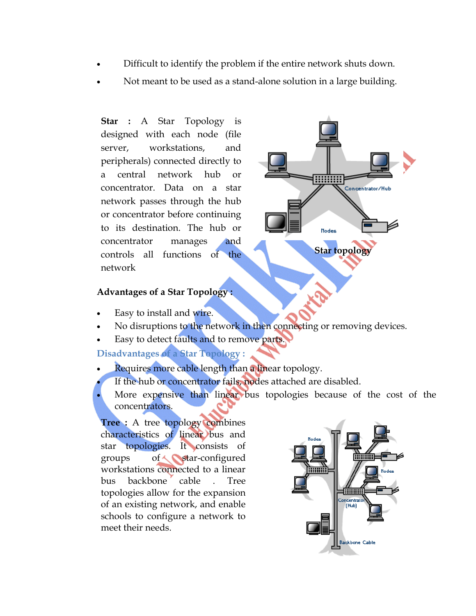- Difficult to identify the problem if the entire network shuts down.
- Not meant to be used as a stand-alone solution in a large building.

**Star :** A Star Topology is designed with each node (file server, workstations, and peripherals) connected directly to a central network hub or concentrator. Data on a star network passes through the hub or concentrator before continuing to its destination. The hub or concentrator manages and controls all functions of the network



#### **Advantages of a Star Topology :**

- Easy to install and wire.
- No disruptions to the network in then connecting or removing devices.
- Easy to detect faults and to remove parts.

**Disadvantages of a Star Topology :**

- Requires more cable length than a linear topology.
- If the hub or concentrator fails, nodes attached are disabled.

 More expensive than linear bus topologies because of the cost of the concentrators.

**Tree :** A tree topology combines characteristics of linear bus and star topologies. It consists of groups of star-configured workstations connected to a linear bus backbone cable . Tree topologies allow for the expansion of an existing network, and enable schools to configure a network to meet their needs.

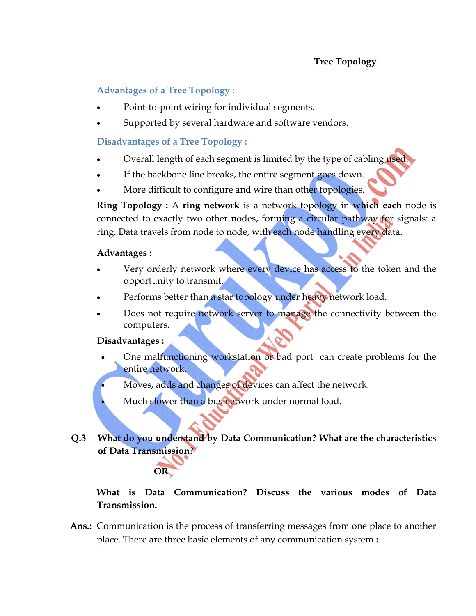#### **Tree Topology**

#### **Advantages of a Tree Topology :**

- Point-to-point wiring for individual segments.
- Supported by several hardware and software vendors.

#### **Disadvantages of a Tree Topology :**

- Overall length of each segment is limited by the type of cabling used.
- If the backbone line breaks, the entire segment goes down.
- More difficult to configure and wire than other topologies.

**Ring Topology :** A **ring network** is a network topology in **which each** node is connected to exactly two other nodes, forming a circular pathway for signals: a ring. Data travels from node to node, with each node handling every data.

#### **Advantages :**

- Very orderly network where every device has access to the token and the opportunity to transmit.
- Performs better than a star topology under heavy network load.
- Does not require network server to manage the connectivity between the computers.

#### **Disadvantages :**

- One malfunctioning workstation or bad port can create problems for the entire network.
- Moves, adds and changes of devices can affect the network.
- Much slower than a bus network under normal load.

#### **Q.3 What do you understand by Data Communication? What are the characteristics of Data Transmission?**

### **OR**

#### **What is Data Communication? Discuss the various modes of Data Transmission.**

**Ans.:** Communication is the process of transferring messages from one place to another place. There are three basic elements of any communication system **:**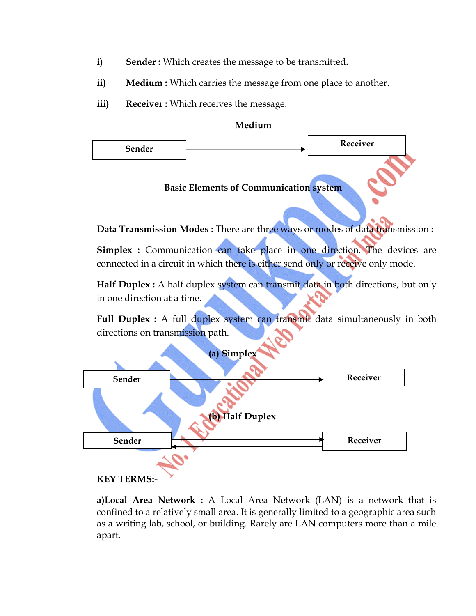- **i) Sender :** Which creates the message to be transmitted**.**
- **ii) Medium :** Which carries the message from one place to another.
- **iii) Receiver :** Which receives the message.

#### **Medium**



**Data Transmission Modes :** There are three ways or modes of data transmission **:**

**Simplex :** Communication can take place in one direction. The devices are connected in a circuit in which there is either send only or receive only mode.

**Half Duplex :** A half duplex system can transmit data in both directions, but only in one direction at a time.

**Full Duplex :** A full duplex system can transmit data simultaneously in both directions on transmission path.



#### **KEY TERMS:-**

**a)Local Area Network :** A Local Area Network (LAN) is a network that is confined to a relatively small area. It is generally limited to a geographic area such as a writing lab, school, or building. Rarely are LAN computers more than a mile apart.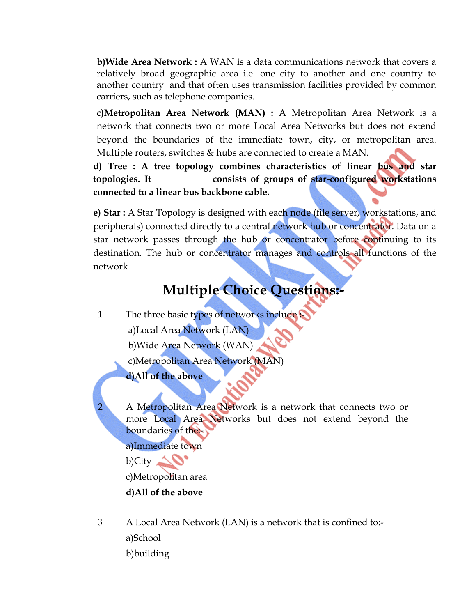**b)Wide Area Network :** A WAN is a data communications network that covers a relatively broad geographic area i.e. one city to another and one country to another country and that often uses transmission facilities provided by common carriers, such as telephone companies.

**c)Metropolitan Area Network (MAN) :** A Metropolitan Area Network is a network that connects two or more Local Area Networks but does not extend beyond the boundaries of the immediate town, city, or metropolitan area. Multiple routers, switches & hubs are connected to create a MAN.

**d) Tree : A tree topology combines characteristics of linear bus and star topologies. It consists of groups of star-configured workstations connected to a linear bus backbone cable.**

**e) Star :** A Star Topology is designed with each node (file server, workstations, and peripherals) connected directly to a central network hub or concentrator. Data on a star network passes through the hub or concentrator before continuing to its destination. The hub or concentrator manages and controls all functions of the network

### **Multiple Choice Questions:-**

1 The three basic types of networks include **:**  a)Local Area Network (LAN) b)Wide Area Network (WAN) c)Metropolitan Area Network (MAN)

**d)All of the above**

2 A Metropolitan Area Network is a network that connects two or more Local Area Networks but does not extend beyond the boundaries of the:-

a)Immediate town

b)City

c)Metropolitan area

**d)All of the above**

3 A Local Area Network (LAN) is a network that is confined to: a)School b)building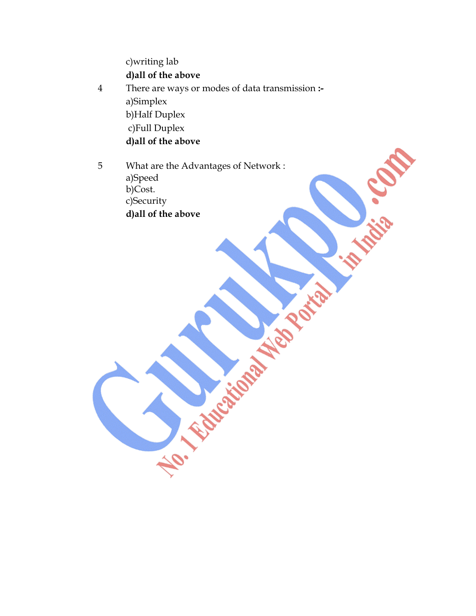c)writing lab **d)all of the above** 4 There are ways or modes of data transmission **:** a)Simplex b)Half Duplex c)Full Duplex **d)all of the above** 5 What are the Advantages of Network : a)Speed tio<br>C b)Cost. c)Security **d)all of the above**

Legislation of the Rockie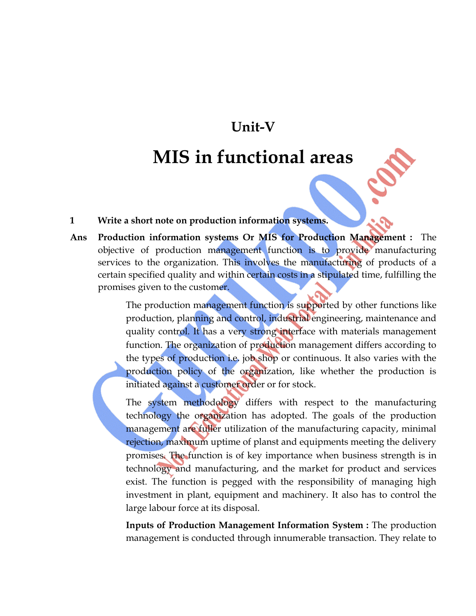#### **Unit-V**

### **MIS in functional areas**

#### **1 Write a short note on production information systems.**

**Ans Production information systems Or MIS for Production Management :** The objective of production management function is to provide manufacturing services to the organization. This involves the manufacturing of products of a certain specified quality and within certain costs in a stipulated time, fulfilling the promises given to the customer.

> The production management function is supported by other functions like production, planning and control, industrial engineering, maintenance and quality control. It has a very strong interface with materials management function. The organization of production management differs according to the types of production i.e. job shop or continuous. It also varies with the production policy of the organization, like whether the production is initiated against a customer order or for stock.

> The system methodology differs with respect to the manufacturing technology the organization has adopted. The goals of the production management are fuller utilization of the manufacturing capacity, minimal rejection, maximum uptime of planst and equipments meeting the delivery promises. The function is of key importance when business strength is in technology and manufacturing, and the market for product and services exist. The function is pegged with the responsibility of managing high investment in plant, equipment and machinery. It also has to control the large labour force at its disposal.

> **Inputs of Production Management Information System :** The production management is conducted through innumerable transaction. They relate to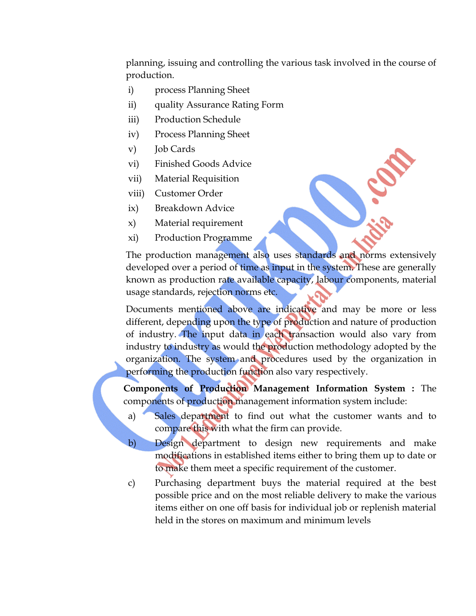planning, issuing and controlling the various task involved in the course of production.

- i) process Planning Sheet
- ii) quality Assurance Rating Form
- iii) Production Schedule
- iv) Process Planning Sheet
- v) Job Cards
- vi) Finished Goods Advice
- vii) Material Requisition
- viii) Customer Order
- ix) Breakdown Advice
- x) Material requirement
- xi) Production Programme

The production management also uses standards and norms extensively developed over a period of time as input in the system. These are generally known as production rate available capacity, labour components, material usage standards, rejection norms etc.

**PART** 

Documents mentioned above are indicative and may be more or less different, depending upon the type of production and nature of production of industry. The input data in each transaction would also vary from industry to industry as would the production methodology adopted by the organization. The system and procedures used by the organization in performing the production function also vary respectively.

**Components of Production Management Information System :** The components of production management information system include:

- a) Sales department to find out what the customer wants and to compare this with what the firm can provide.
- b) Design department to design new requirements and make modifications in established items either to bring them up to date or to make them meet a specific requirement of the customer.
- c) Purchasing department buys the material required at the best possible price and on the most reliable delivery to make the various items either on one off basis for individual job or replenish material held in the stores on maximum and minimum levels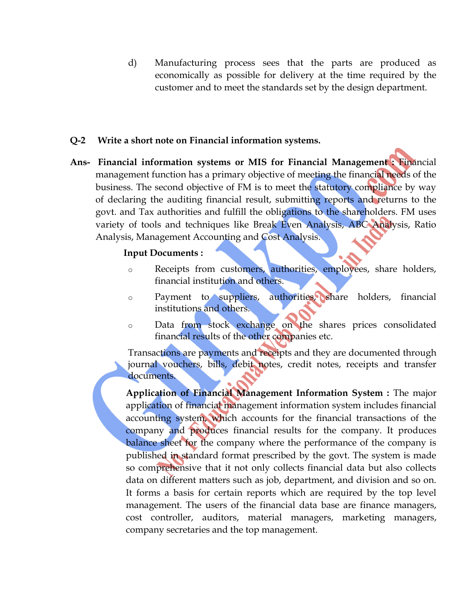d) Manufacturing process sees that the parts are produced as economically as possible for delivery at the time required by the customer and to meet the standards set by the design department.

#### **Q-2 Write a short note on Financial information systems.**

**Ans- Financial information systems or MIS for Financial Management :** Financial management function has a primary objective of meeting the financial needs of the business. The second objective of FM is to meet the statutory compliance by way of declaring the auditing financial result, submitting reports and returns to the govt. and Tax authorities and fulfill the obligations to the shareholders. FM uses variety of tools and techniques like Break Even Analysis, ABC Analysis, Ratio Analysis, Management Accounting and Cost Analysis.

#### **Input Documents :**

- o Receipts from customers, authorities, employees, share holders, financial institution and others.
- o Payment to suppliers, authorities, share holders, financial institutions and others.
- o Data from stock exchange on the shares prices consolidated financial results of the other companies etc.

Transactions are payments and receipts and they are documented through journal vouchers, bills, debit notes, credit notes, receipts and transfer documents.

**Application of Financial Management Information System :** The major application of financial management information system includes financial accounting system, which accounts for the financial transactions of the company and produces financial results for the company. It produces balance sheet for the company where the performance of the company is published in standard format prescribed by the govt. The system is made so comprehensive that it not only collects financial data but also collects data on different matters such as job, department, and division and so on. It forms a basis for certain reports which are required by the top level management. The users of the financial data base are finance managers, cost controller, auditors, material managers, marketing managers, company secretaries and the top management.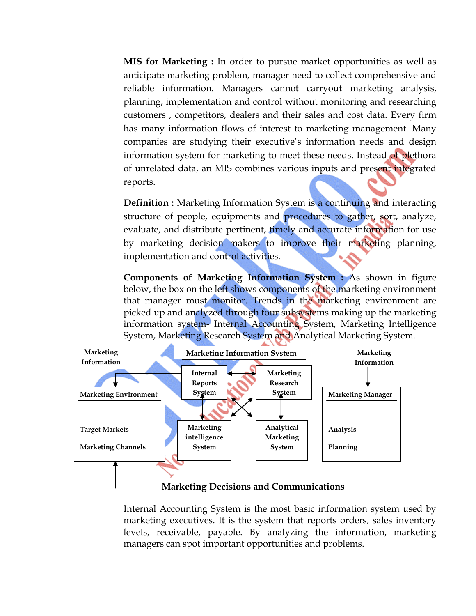**MIS for Marketing :** In order to pursue market opportunities as well as anticipate marketing problem, manager need to collect comprehensive and reliable information. Managers cannot carryout marketing analysis, planning, implementation and control without monitoring and researching customers , competitors, dealers and their sales and cost data. Every firm has many information flows of interest to marketing management. Many companies are studying their executive's information needs and design information system for marketing to meet these needs. Instead of plethora of unrelated data, an MIS combines various inputs and present integrated reports.

**Definition :** Marketing Information System is a continuing and interacting structure of people, equipments and procedures to gather, sort, analyze, evaluate, and distribute pertinent, timely and accurate information for use by marketing decision makers to improve their marketing planning, implementation and control activities.

**Components of Marketing Information System :** As shown in figure below, the box on the left shows components of the marketing environment that manager must monitor. Trends in the marketing environment are picked up and analyzed through four subsystems making up the marketing information system- Internal Accounting System, Marketing Intelligence System, Marketing Research System and Analytical Marketing System.



Internal Accounting System is the most basic information system used by marketing executives. It is the system that reports orders, sales inventory levels, receivable, payable. By analyzing the information, marketing managers can spot important opportunities and problems.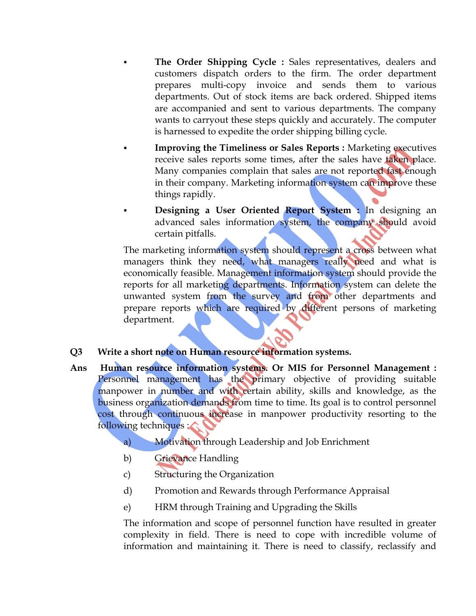- **The Order Shipping Cycle :** Sales representatives, dealers and customers dispatch orders to the firm. The order department prepares multi-copy invoice and sends them to various departments. Out of stock items are back ordered. Shipped items are accompanied and sent to various departments. The company wants to carryout these steps quickly and accurately. The computer is harnessed to expedite the order shipping billing cycle.
- **Improving the Timeliness or Sales Reports :** Marketing executives receive sales reports some times, after the sales have taken place. Many companies complain that sales are not reported fast enough in their company. Marketing information system can improve these things rapidly.
- **Designing a User Oriented Report System :** In designing an advanced sales information system, the company should avoid certain pitfalls.

The marketing information system should represent a cross between what managers think they need, what managers really need and what is economically feasible. Management information system should provide the reports for all marketing departments. Information system can delete the unwanted system from the survey and from other departments and prepare reports which are required by different persons of marketing department.

- **Q3 Write a short note on Human resource information systems.**
- **Ans Human resource information systems. Or MIS for Personnel Management :** Personnel management has the primary objective of providing suitable manpower in number and with certain ability, skills and knowledge, as the business organization demands from time to time. Its goal is to control personnel cost through continuous increase in manpower productivity resorting to the following techniques :
	- a) Motivation through Leadership and Job Enrichment
	- b) Grievance Handling
	- c) Structuring the Organization
	- d) Promotion and Rewards through Performance Appraisal
	- e) HRM through Training and Upgrading the Skills

The information and scope of personnel function have resulted in greater complexity in field. There is need to cope with incredible volume of information and maintaining it. There is need to classify, reclassify and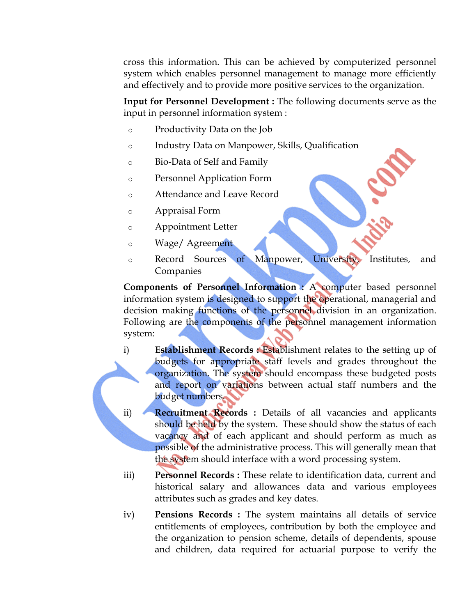cross this information. This can be achieved by computerized personnel system which enables personnel management to manage more efficiently and effectively and to provide more positive services to the organization.

**Input for Personnel Development :** The following documents serve as the input in personnel information system :

- o Productivity Data on the Job
- o Industry Data on Manpower, Skills, Qualification
- o Bio-Data of Self and Family
- o Personnel Application Form
- o Attendance and Leave Record
- o Appraisal Form
- o Appointment Letter
- o Wage/ Agreement
- o Record Sources of Manpower, University, Institutes, and Companies

**Components of Personnel Information :** A computer based personnel information system is designed to support the operational, managerial and decision making functions of the personnel division in an organization. Following are the components of the personnel management information system:

- i) **Establishment Records :** Establishment relates to the setting up of budgets for appropriate staff levels and grades throughout the organization. The system should encompass these budgeted posts and report on variations between actual staff numbers and the budget numbers.
- ii) **Recruitment Records :** Details of all vacancies and applicants should be held by the system. These should show the status of each vacancy and of each applicant and should perform as much as possible of the administrative process. This will generally mean that the system should interface with a word processing system.
- iii) **Personnel Records :** These relate to identification data, current and historical salary and allowances data and various employees attributes such as grades and key dates.
- iv) **Pensions Records :** The system maintains all details of service entitlements of employees, contribution by both the employee and the organization to pension scheme, details of dependents, spouse and children, data required for actuarial purpose to verify the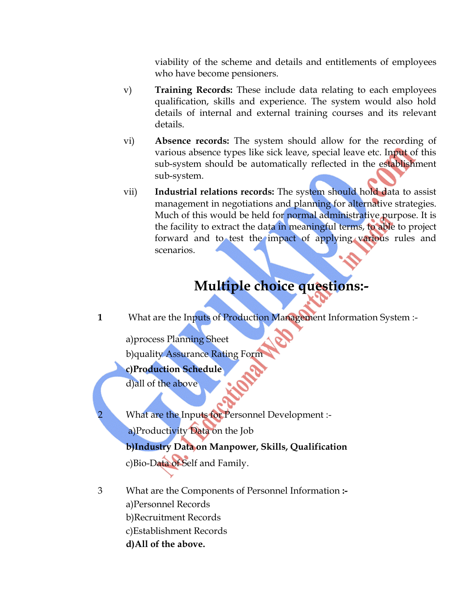viability of the scheme and details and entitlements of employees who have become pensioners.

- v) **Training Records:** These include data relating to each employees qualification, skills and experience. The system would also hold details of internal and external training courses and its relevant details.
- vi) **Absence records:** The system should allow for the recording of various absence types like sick leave, special leave etc. Input of this sub-system should be automatically reflected in the establishment sub-system.
- vii) **Industrial relations records:** The system should hold data to assist management in negotiations and planning for alternative strategies. Much of this would be held for normal administrative purpose. It is the facility to extract the data in meaningful terms, to able to project forward and to test the impact of applying various rules and scenarios.

### **Multiple choice questions:-**

**1** What are the Inputs of Production Management Information System :-

a)process Planning Sheet

b)quality Assurance Rating Form

**c)Production Schedule**

d)all of the above

What are the Inputs for Personnel Development :a)Productivity Data on the Job **b)Industry Data on Manpower, Skills, Qualification** c)Bio-Data of Self and Family.

3 What are the Components of Personnel Information **:** a)Personnel Records b)Recruitment Records c)Establishment Records **d)All of the above.**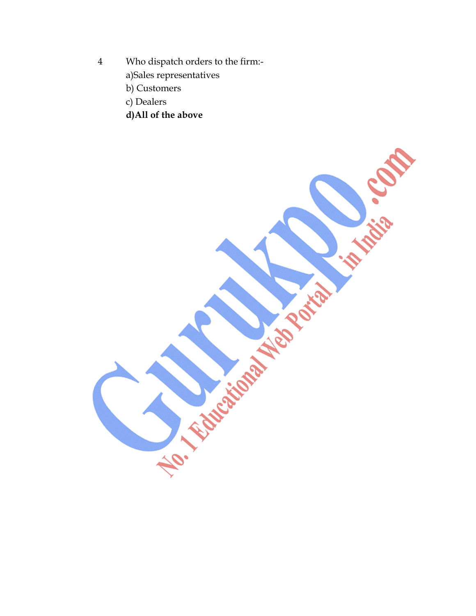4 Who dispatch orders to the firm: a)Sales representatives b) Customers c) Dealers **d)All of the above**

10.

IC Marian Marian

**Disp C.**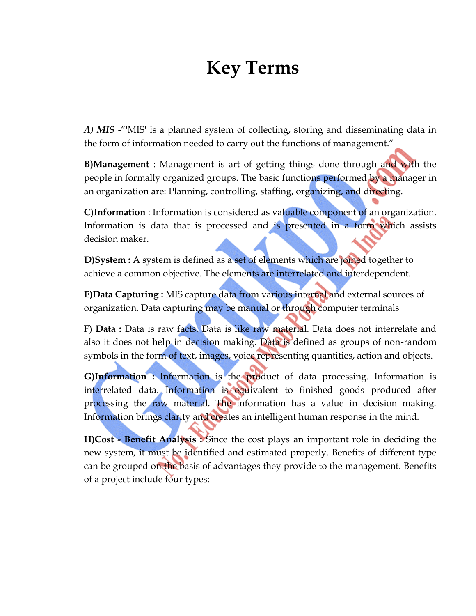# **Key Terms**

*A) MIS* - "MIS' is a planned system of collecting, storing and disseminating data in the form of information needed to carry out the functions of management."

**B)Management** : Management is art of getting things done through and with the people in formally organized groups. The basic functions performed by a manager in an organization are: Planning, controlling, staffing, organizing, and directing.

**C)Information** : Information is considered as valuable component of an organization. Information is data that is processed and is presented in a form which assists decision maker.

**D)System :** A system is defined as a set of elements which are joined together to achieve a common objective. The elements are interrelated and interdependent.

**E)Data Capturing :** MIS capture data from various internal and external sources of organization. Data capturing may be manual or through computer terminals

F) **Data :** Data is raw facts. Data is like raw material. Data does not interrelate and also it does not help in decision making. Data is defined as groups of non-random symbols in the form of text, images, voice representing quantities, action and objects.

**G)Information :** Information is the product of data processing. Information is interrelated data. Information is equivalent to finished goods produced after processing the raw material. The information has a value in decision making. Information brings clarity and creates an intelligent human response in the mind.

**H)Cost - Benefit Analysis :** Since the cost plays an important role in deciding the new system, it must be identified and estimated properly. Benefits of different type can be grouped on the basis of advantages they provide to the management. Benefits of a project include four types: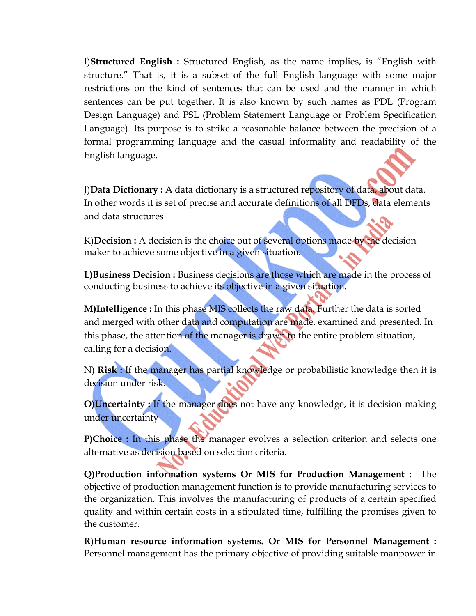I)**Structured English :** Structured English, as the name implies, is "English with structure.‖ That is, it is a subset of the full English language with some major restrictions on the kind of sentences that can be used and the manner in which sentences can be put together. It is also known by such names as PDL (Program Design Language) and PSL (Problem Statement Language or Problem Specification Language). Its purpose is to strike a reasonable balance between the precision of a formal programming language and the casual informality and readability of the English language.

J)**Data Dictionary :** A data dictionary is a structured repository of data, about data. In other words it is set of precise and accurate definitions of all DFDs, data elements and data structures

K)**Decision :** A decision is the choice out of several options made by the decision maker to achieve some objective in a given situation.

**L)Business Decision :** Business decisions are those which are made in the process of conducting business to achieve its objective in a given situation.

**M)Intelligence :** In this phase MIS collects the raw data. Further the data is sorted and merged with other data and computation are made, examined and presented. In this phase, the attention of the manager is drawn to the entire problem situation, calling for a decision.

N) **Risk :** If the manager has partial knowledge or probabilistic knowledge then it is decision under risk.

**O)Uncertainty :** If the manager does not have any knowledge, it is decision making under uncertainty

**P)Choice :** In this phase the manager evolves a selection criterion and selects one alternative as decision based on selection criteria.

**Q)Production information systems Or MIS for Production Management :** The objective of production management function is to provide manufacturing services to the organization. This involves the manufacturing of products of a certain specified quality and within certain costs in a stipulated time, fulfilling the promises given to the customer.

**R)Human resource information systems. Or MIS for Personnel Management :** Personnel management has the primary objective of providing suitable manpower in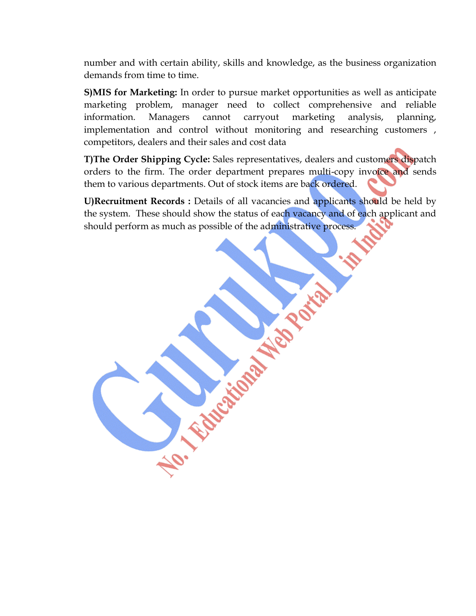number and with certain ability, skills and knowledge, as the business organization demands from time to time.

**S)MIS for Marketing:** In order to pursue market opportunities as well as anticipate marketing problem, manager need to collect comprehensive and reliable information. Managers cannot carryout marketing analysis, planning, implementation and control without monitoring and researching customers , competitors, dealers and their sales and cost data

**T)The Order Shipping Cycle:** Sales representatives, dealers and customers dispatch orders to the firm. The order department prepares multi-copy invoice and sends them to various departments. Out of stock items are back ordered.

**U)Recruitment Records :** Details of all vacancies and applicants should be held by the system. These should show the status of each vacancy and of each applicant and should perform as much as possible of the administrative process.